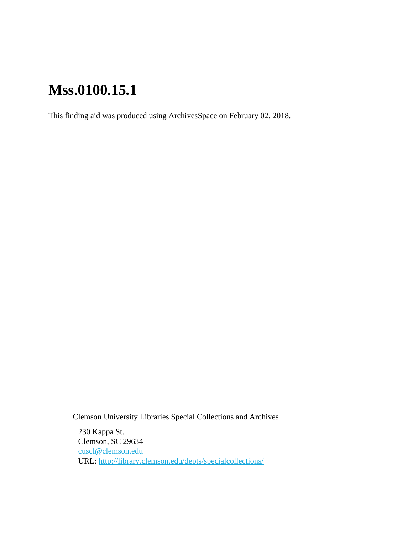This finding aid was produced using ArchivesSpace on February 02, 2018.

Clemson University Libraries Special Collections and Archives

230 Kappa St. Clemson, SC 29634 [cuscl@clemson.edu](mailto:cuscl@clemson.edu) URL:<http://library.clemson.edu/depts/specialcollections/>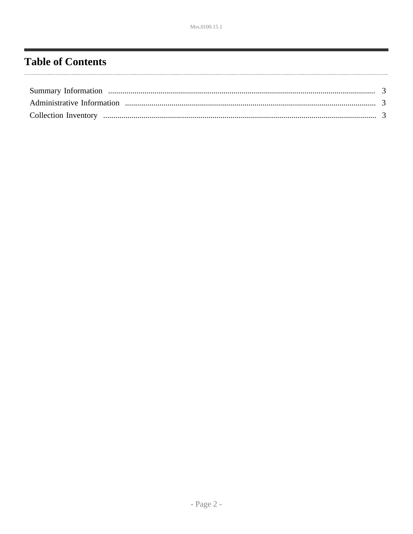## <span id="page-1-0"></span>**Table of Contents**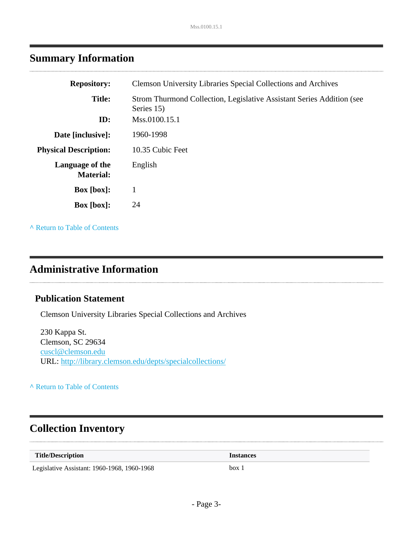### <span id="page-2-0"></span>**Summary Information**

| <b>Repository:</b>                  | <b>Clemson University Libraries Special Collections and Archives</b>                |
|-------------------------------------|-------------------------------------------------------------------------------------|
| <b>Title:</b>                       | Strom Thurmond Collection, Legislative Assistant Series Addition (see<br>Series 15) |
| ID:                                 | Mss.0100.15.1                                                                       |
| Date [inclusive]:                   | 1960-1998                                                                           |
| <b>Physical Description:</b>        | 10.35 Cubic Feet                                                                    |
| Language of the<br><b>Material:</b> | English                                                                             |
| <b>Box</b> [box]:                   |                                                                                     |
| $Box [box]$ :                       | 24                                                                                  |
|                                     |                                                                                     |

**^** [Return to Table of Contents](#page-1-0)

### <span id="page-2-1"></span>**Administrative Information**

### **Publication Statement**

Clemson University Libraries Special Collections and Archives

230 Kappa St. Clemson, SC 29634 [cuscl@clemson.edu](mailto:cuscl@clemson.edu) URL:<http://library.clemson.edu/depts/specialcollections/>

**^** [Return to Table of Contents](#page-1-0)

### <span id="page-2-2"></span>**Collection Inventory**

| <b>Title/Description</b>                    | <i><u><b>Instances</b></u></i> |
|---------------------------------------------|--------------------------------|
| Legislative Assistant: 1960-1968, 1960-1968 | box                            |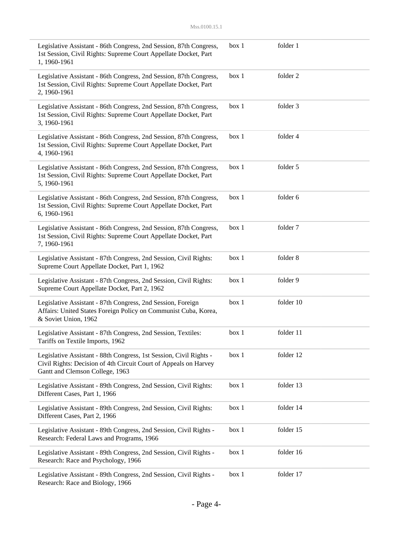| Legislative Assistant - 86th Congress, 2nd Session, 87th Congress,<br>1st Session, Civil Rights: Supreme Court Appellate Docket, Part<br>1, 1960-1961                     | box 1 | folder 1  |
|---------------------------------------------------------------------------------------------------------------------------------------------------------------------------|-------|-----------|
| Legislative Assistant - 86th Congress, 2nd Session, 87th Congress,<br>1st Session, Civil Rights: Supreme Court Appellate Docket, Part<br>2, 1960-1961                     | box 1 | folder 2  |
| Legislative Assistant - 86th Congress, 2nd Session, 87th Congress,<br>1st Session, Civil Rights: Supreme Court Appellate Docket, Part<br>3, 1960-1961                     | box 1 | folder 3  |
| Legislative Assistant - 86th Congress, 2nd Session, 87th Congress,<br>1st Session, Civil Rights: Supreme Court Appellate Docket, Part<br>4, 1960-1961                     | box 1 | folder 4  |
| Legislative Assistant - 86th Congress, 2nd Session, 87th Congress,<br>1st Session, Civil Rights: Supreme Court Appellate Docket, Part<br>5, 1960-1961                     | box 1 | folder 5  |
| Legislative Assistant - 86th Congress, 2nd Session, 87th Congress,<br>1st Session, Civil Rights: Supreme Court Appellate Docket, Part<br>6, 1960-1961                     | box 1 | folder 6  |
| Legislative Assistant - 86th Congress, 2nd Session, 87th Congress,<br>1st Session, Civil Rights: Supreme Court Appellate Docket, Part<br>7, 1960-1961                     | box 1 | folder 7  |
| Legislative Assistant - 87th Congress, 2nd Session, Civil Rights:<br>Supreme Court Appellate Docket, Part 1, 1962                                                         | box 1 | folder 8  |
| Legislative Assistant - 87th Congress, 2nd Session, Civil Rights:<br>Supreme Court Appellate Docket, Part 2, 1962                                                         | box 1 | folder 9  |
| Legislative Assistant - 87th Congress, 2nd Session, Foreign<br>Affairs: United States Foreign Policy on Communist Cuba, Korea,<br>& Soviet Union, 1962                    | box 1 | folder 10 |
| Legislative Assistant - 87th Congress, 2nd Session, Textiles:<br>Tariffs on Textile Imports, 1962                                                                         | box 1 | folder 11 |
| Legislative Assistant - 88th Congress, 1st Session, Civil Rights -<br>Civil Rights: Decision of 4th Circuit Court of Appeals on Harvey<br>Gantt and Clemson College, 1963 | box 1 | folder 12 |
| Legislative Assistant - 89th Congress, 2nd Session, Civil Rights:<br>Different Cases, Part 1, 1966                                                                        | box 1 | folder 13 |
| Legislative Assistant - 89th Congress, 2nd Session, Civil Rights:<br>Different Cases, Part 2, 1966                                                                        | box 1 | folder 14 |
| Legislative Assistant - 89th Congress, 2nd Session, Civil Rights -<br>Research: Federal Laws and Programs, 1966                                                           | box 1 | folder 15 |
| Legislative Assistant - 89th Congress, 2nd Session, Civil Rights -<br>Research: Race and Psychology, 1966                                                                 | box 1 | folder 16 |
| Legislative Assistant - 89th Congress, 2nd Session, Civil Rights -<br>Research: Race and Biology, 1966                                                                    | box 1 | folder 17 |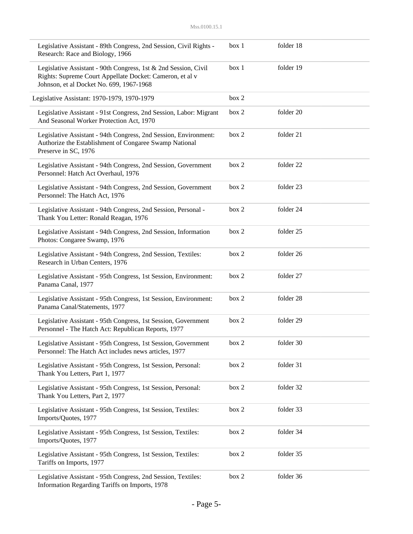| Legislative Assistant - 89th Congress, 2nd Session, Civil Rights -<br>Research: Race and Biology, 1966                                                                  | box 1 | folder 18 |
|-------------------------------------------------------------------------------------------------------------------------------------------------------------------------|-------|-----------|
| Legislative Assistant - 90th Congress, 1st & 2nd Session, Civil<br>Rights: Supreme Court Appellate Docket: Cameron, et al v<br>Johnson, et al Docket No. 699, 1967-1968 | box 1 | folder 19 |
| Legislative Assistant: 1970-1979, 1970-1979                                                                                                                             | box 2 |           |
| Legislative Assistant - 91st Congress, 2nd Session, Labor: Migrant<br>And Seasonal Worker Protection Act, 1970                                                          | box 2 | folder 20 |
| Legislative Assistant - 94th Congress, 2nd Session, Environment:<br>Authorize the Establishment of Congaree Swamp National<br>Preserve in SC, 1976                      | box 2 | folder 21 |
| Legislative Assistant - 94th Congress, 2nd Session, Government<br>Personnel: Hatch Act Overhaul, 1976                                                                   | box 2 | folder 22 |
| Legislative Assistant - 94th Congress, 2nd Session, Government<br>Personnel: The Hatch Act, 1976                                                                        | box 2 | folder 23 |
| Legislative Assistant - 94th Congress, 2nd Session, Personal -<br>Thank You Letter: Ronald Reagan, 1976                                                                 | box 2 | folder 24 |
| Legislative Assistant - 94th Congress, 2nd Session, Information<br>Photos: Congaree Swamp, 1976                                                                         | box 2 | folder 25 |
| Legislative Assistant - 94th Congress, 2nd Session, Textiles:<br>Research in Urban Centers, 1976                                                                        | box 2 | folder 26 |
| Legislative Assistant - 95th Congress, 1st Session, Environment:<br>Panama Canal, 1977                                                                                  | box 2 | folder 27 |
| Legislative Assistant - 95th Congress, 1st Session, Environment:<br>Panama Canal/Statements, 1977                                                                       | box 2 | folder 28 |
| Legislative Assistant - 95th Congress, 1st Session, Government<br>Personnel - The Hatch Act: Republican Reports, 1977                                                   | box 2 | folder 29 |
| Legislative Assistant - 95th Congress, 1st Session, Government<br>Personnel: The Hatch Act includes news articles, 1977                                                 | box 2 | folder 30 |
| Legislative Assistant - 95th Congress, 1st Session, Personal:<br>Thank You Letters, Part 1, 1977                                                                        | box 2 | folder 31 |
| Legislative Assistant - 95th Congress, 1st Session, Personal:<br>Thank You Letters, Part 2, 1977                                                                        | box 2 | folder 32 |
| Legislative Assistant - 95th Congress, 1st Session, Textiles:<br>Imports/Quotes, 1977                                                                                   | box 2 | folder 33 |
| Legislative Assistant - 95th Congress, 1st Session, Textiles:<br>Imports/Quotes, 1977                                                                                   | box 2 | folder 34 |
| Legislative Assistant - 95th Congress, 1st Session, Textiles:<br>Tariffs on Imports, 1977                                                                               | box 2 | folder 35 |
| Legislative Assistant - 95th Congress, 2nd Session, Textiles:<br>Information Regarding Tariffs on Imports, 1978                                                         | box 2 | folder 36 |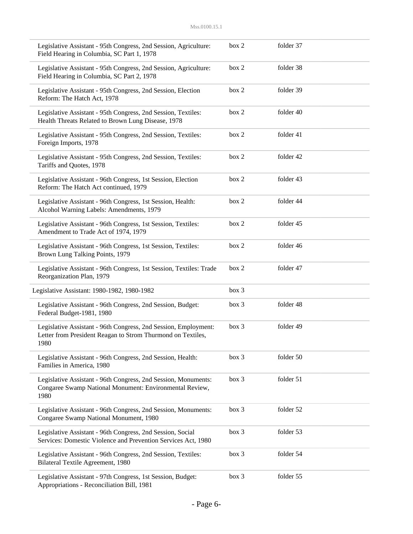| Legislative Assistant - 95th Congress, 2nd Session, Agriculture:<br>Field Hearing in Columbia, SC Part 1, 1978                         | box 2 | folder 37 |
|----------------------------------------------------------------------------------------------------------------------------------------|-------|-----------|
| Legislative Assistant - 95th Congress, 2nd Session, Agriculture:<br>Field Hearing in Columbia, SC Part 2, 1978                         | box 2 | folder 38 |
| Legislative Assistant - 95th Congress, 2nd Session, Election<br>Reform: The Hatch Act, 1978                                            | box 2 | folder 39 |
| Legislative Assistant - 95th Congress, 2nd Session, Textiles:<br>Health Threats Related to Brown Lung Disease, 1978                    | box 2 | folder 40 |
| Legislative Assistant - 95th Congress, 2nd Session, Textiles:<br>Foreign Imports, 1978                                                 | box 2 | folder 41 |
| Legislative Assistant - 95th Congress, 2nd Session, Textiles:<br>Tariffs and Quotes, 1978                                              | box 2 | folder 42 |
| Legislative Assistant - 96th Congress, 1st Session, Election<br>Reform: The Hatch Act continued, 1979                                  | box 2 | folder 43 |
| Legislative Assistant - 96th Congress, 1st Session, Health:<br>Alcohol Warning Labels: Amendments, 1979                                | box 2 | folder 44 |
| Legislative Assistant - 96th Congress, 1st Session, Textiles:<br>Amendment to Trade Act of 1974, 1979                                  | box 2 | folder 45 |
| Legislative Assistant - 96th Congress, 1st Session, Textiles:<br>Brown Lung Talking Points, 1979                                       | box 2 | folder 46 |
| Legislative Assistant - 96th Congress, 1st Session, Textiles: Trade<br>Reorganization Plan, 1979                                       | box 2 | folder 47 |
| Legislative Assistant: 1980-1982, 1980-1982                                                                                            | box 3 |           |
| Legislative Assistant - 96th Congress, 2nd Session, Budget:<br>Federal Budget-1981, 1980                                               | box 3 | folder 48 |
| Legislative Assistant - 96th Congress, 2nd Session, Employment:<br>Letter from President Reagan to Strom Thurmond on Textiles,<br>1980 | box 3 | folder 49 |
| Legislative Assistant - 96th Congress, 2nd Session, Health:<br>Families in America, 1980                                               | box 3 | folder 50 |
| Legislative Assistant - 96th Congress, 2nd Session, Monuments:<br>Congaree Swamp National Monument: Environmental Review,<br>1980      | box 3 | folder 51 |
| Legislative Assistant - 96th Congress, 2nd Session, Monuments:<br>Congaree Swamp National Monument, 1980                               | box 3 | folder 52 |
| Legislative Assistant - 96th Congress, 2nd Session, Social<br>Services: Domestic Violence and Prevention Services Act, 1980            | box 3 | folder 53 |
| Legislative Assistant - 96th Congress, 2nd Session, Textiles:<br>Bilateral Textile Agreement, 1980                                     | box 3 | folder 54 |
| Legislative Assistant - 97th Congress, 1st Session, Budget:<br>Appropriations - Reconciliation Bill, 1981                              | box 3 | folder 55 |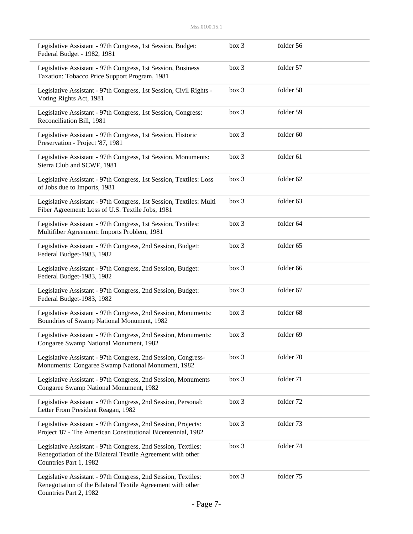| Legislative Assistant - 97th Congress, 1st Session, Budget:<br>Federal Budget - 1982, 1981                                                             | box 3 | folder 56 |
|--------------------------------------------------------------------------------------------------------------------------------------------------------|-------|-----------|
| Legislative Assistant - 97th Congress, 1st Session, Business<br>Taxation: Tobacco Price Support Program, 1981                                          | box 3 | folder 57 |
| Legislative Assistant - 97th Congress, 1st Session, Civil Rights -<br>Voting Rights Act, 1981                                                          | box 3 | folder 58 |
| Legislative Assistant - 97th Congress, 1st Session, Congress:<br>Reconciliation Bill, 1981                                                             | box 3 | folder 59 |
| Legislative Assistant - 97th Congress, 1st Session, Historic<br>Preservation - Project '87, 1981                                                       | box 3 | folder 60 |
| Legislative Assistant - 97th Congress, 1st Session, Monuments:<br>Sierra Club and SCWF, 1981                                                           | box 3 | folder 61 |
| Legislative Assistant - 97th Congress, 1st Session, Textiles: Loss<br>of Jobs due to Imports, 1981                                                     | box 3 | folder 62 |
| Legislative Assistant - 97th Congress, 1st Session, Textiles: Multi<br>Fiber Agreement: Loss of U.S. Textile Jobs, 1981                                | box 3 | folder 63 |
| Legislative Assistant - 97th Congress, 1st Session, Textiles:<br>Multifiber Agreement: Imports Problem, 1981                                           | box 3 | folder 64 |
| Legislative Assistant - 97th Congress, 2nd Session, Budget:<br>Federal Budget-1983, 1982                                                               | box 3 | folder 65 |
| Legislative Assistant - 97th Congress, 2nd Session, Budget:<br>Federal Budget-1983, 1982                                                               | box 3 | folder 66 |
| Legislative Assistant - 97th Congress, 2nd Session, Budget:<br>Federal Budget-1983, 1982                                                               | box 3 | folder 67 |
| Legislative Assistant - 97th Congress, 2nd Session, Monuments:<br>Boundries of Swamp National Monument, 1982                                           | box 3 | folder 68 |
| Legislative Assistant - 97th Congress, 2nd Session, Monuments:<br>Congaree Swamp National Monument, 1982                                               | box 3 | folder 69 |
| Legislative Assistant - 97th Congress, 2nd Session, Congress-<br>Monuments: Congaree Swamp National Monument, 1982                                     | box 3 | folder 70 |
| Legislative Assistant - 97th Congress, 2nd Session, Monuments<br>Congaree Swamp National Monument, 1982                                                | box 3 | folder 71 |
| Legislative Assistant - 97th Congress, 2nd Session, Personal:<br>Letter From President Reagan, 1982                                                    | box 3 | folder 72 |
| Legislative Assistant - 97th Congress, 2nd Session, Projects:<br>Project '87 - The American Constitutional Bicentennial, 1982                          | box 3 | folder 73 |
| Legislative Assistant - 97th Congress, 2nd Session, Textiles:<br>Renegotiation of the Bilateral Textile Agreement with other<br>Countries Part 1, 1982 | box 3 | folder 74 |
| Legislative Assistant - 97th Congress, 2nd Session, Textiles:<br>Renegotiation of the Bilateral Textile Agreement with other<br>Countries Part 2, 1982 | box 3 | folder 75 |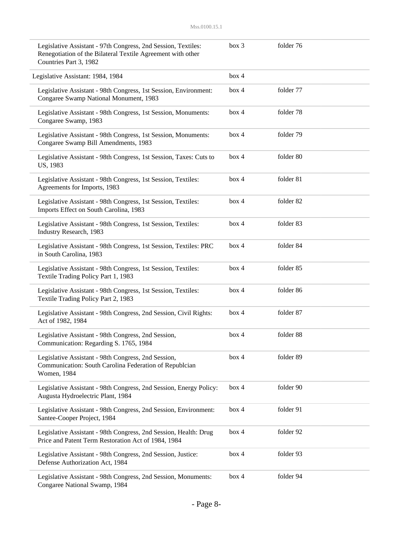| Legislative Assistant - 97th Congress, 2nd Session, Textiles:<br>Renegotiation of the Bilateral Textile Agreement with other<br>Countries Part 3, 1982 | box 3 | folder 76 |  |
|--------------------------------------------------------------------------------------------------------------------------------------------------------|-------|-----------|--|
| Legislative Assistant: 1984, 1984                                                                                                                      | box 4 |           |  |
| Legislative Assistant - 98th Congress, 1st Session, Environment:<br>Congaree Swamp National Monument, 1983                                             | box 4 | folder 77 |  |
| Legislative Assistant - 98th Congress, 1st Session, Monuments:<br>Congaree Swamp, 1983                                                                 | box 4 | folder 78 |  |
| Legislative Assistant - 98th Congress, 1st Session, Monuments:<br>Congaree Swamp Bill Amendments, 1983                                                 | box 4 | folder 79 |  |
| Legislative Assistant - 98th Congress, 1st Session, Taxes: Cuts to<br>US, 1983                                                                         | box 4 | folder 80 |  |
| Legislative Assistant - 98th Congress, 1st Session, Textiles:<br>Agreements for Imports, 1983                                                          | box 4 | folder 81 |  |
| Legislative Assistant - 98th Congress, 1st Session, Textiles:<br>Imports Effect on South Carolina, 1983                                                | box 4 | folder 82 |  |
| Legislative Assistant - 98th Congress, 1st Session, Textiles:<br>Industry Research, 1983                                                               | box 4 | folder 83 |  |
| Legislative Assistant - 98th Congress, 1st Session, Textiles: PRC<br>in South Carolina, 1983                                                           | box 4 | folder 84 |  |
| Legislative Assistant - 98th Congress, 1st Session, Textiles:<br>Textile Trading Policy Part 1, 1983                                                   | box 4 | folder 85 |  |
| Legislative Assistant - 98th Congress, 1st Session, Textiles:<br>Textile Trading Policy Part 2, 1983                                                   | box 4 | folder 86 |  |
| Legislative Assistant - 98th Congress, 2nd Session, Civil Rights:<br>Act of 1982, 1984                                                                 | box 4 | folder 87 |  |
| Legislative Assistant - 98th Congress, 2nd Session,<br>Communication: Regarding S. 1765, 1984                                                          | box 4 | folder 88 |  |
| Legislative Assistant - 98th Congress, 2nd Session,<br>Communication: South Carolina Federation of Republcian<br>Women, 1984                           | box 4 | folder 89 |  |
| Legislative Assistant - 98th Congress, 2nd Session, Energy Policy:<br>Augusta Hydroelectric Plant, 1984                                                | box 4 | folder 90 |  |
| Legislative Assistant - 98th Congress, 2nd Session, Environment:<br>Santee-Cooper Project, 1984                                                        | box 4 | folder 91 |  |
| Legislative Assistant - 98th Congress, 2nd Session, Health: Drug<br>Price and Patent Term Restoration Act of 1984, 1984                                | box 4 | folder 92 |  |
| Legislative Assistant - 98th Congress, 2nd Session, Justice:<br>Defense Authorization Act, 1984                                                        | box 4 | folder 93 |  |
| Legislative Assistant - 98th Congress, 2nd Session, Monuments:<br>Congaree National Swamp, 1984                                                        | box 4 | folder 94 |  |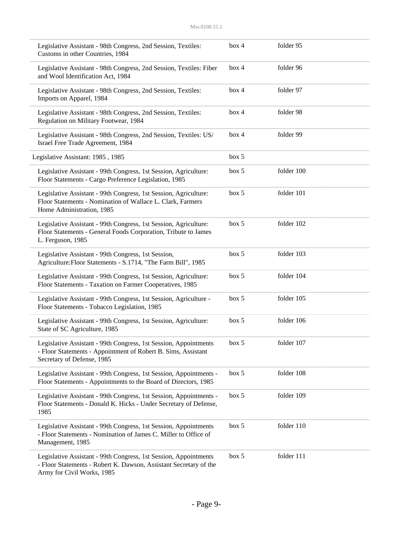| Legislative Assistant - 98th Congress, 2nd Session, Textiles:<br>Customs in other Countries, 1984                                                                   | box 4 | folder 95  |
|---------------------------------------------------------------------------------------------------------------------------------------------------------------------|-------|------------|
| Legislative Assistant - 98th Congress, 2nd Session, Textiles: Fiber<br>and Wool Identification Act, 1984                                                            | box 4 | folder 96  |
| Legislative Assistant - 98th Congress, 2nd Session, Textiles:<br>Imports on Apparel, 1984                                                                           | box 4 | folder 97  |
| Legislative Assistant - 98th Congress, 2nd Session, Textiles:<br>Regulation on Military Footwear, 1984                                                              | box 4 | folder 98  |
| Legislative Assistant - 98th Congress, 2nd Session, Textiles: US/<br>Israel Free Trade Agreement, 1984                                                              | box 4 | folder 99  |
| Legislative Assistant: 1985, 1985                                                                                                                                   | box 5 |            |
| Legislative Assistant - 99th Congress, 1st Session, Agriculture:<br>Floor Statements - Cargo Preference Legislation, 1985                                           | box 5 | folder 100 |
| Legislative Assistant - 99th Congress, 1st Session, Agriculture:<br>Floor Statements - Nomination of Wallace L. Clark, Farmers<br>Home Administration, 1985         | box 5 | folder 101 |
| Legislative Assistant - 99th Congress, 1st Session, Agriculture:<br>Floor Statements - General Foods Corporation, Tribute to James<br>L. Ferguson, 1985             | box 5 | folder 102 |
| Legislative Assistant - 99th Congress, 1st Session,<br>Agriculture: Floor Statements - S.1714, "The Farm Bill", 1985                                                | box 5 | folder 103 |
| Legislative Assistant - 99th Congress, 1st Session, Agriculture:<br>Floor Statements - Taxation on Farmer Cooperatives, 1985                                        | box 5 | folder 104 |
| Legislative Assistant - 99th Congress, 1st Session, Agriculture -<br>Floor Statements - Tobacco Legislation, 1985                                                   | box 5 | folder 105 |
| Legislative Assistant - 99th Congress, 1st Session, Agriculture:<br>State of SC Agriculture, 1985                                                                   | box 5 | folder 106 |
| Legislative Assistant - 99th Congress, 1st Session, Appointments<br>- Floor Statements - Appointment of Robert B. Sims, Assistant<br>Secretary of Defense, 1985     | box 5 | folder 107 |
| Legislative Assistant - 99th Congress, 1st Session, Appointments -<br>Floor Statements - Appointments to the Board of Directors, 1985                               | box 5 | folder 108 |
| Legislative Assistant - 99th Congress, 1st Session, Appointments -<br>Floor Statements - Donald K. Hicks - Under Secretary of Defense,<br>1985                      | box 5 | folder 109 |
| Legislative Assistant - 99th Congress, 1st Session, Appointments<br>- Floor Statements - Nomination of James C. Miller to Office of<br>Management, 1985             | box 5 | folder 110 |
| Legislative Assistant - 99th Congress, 1st Session, Appointments<br>- Floor Statements - Robert K. Dawson, Assistant Secretary of the<br>Army for Civil Works, 1985 | box 5 | folder 111 |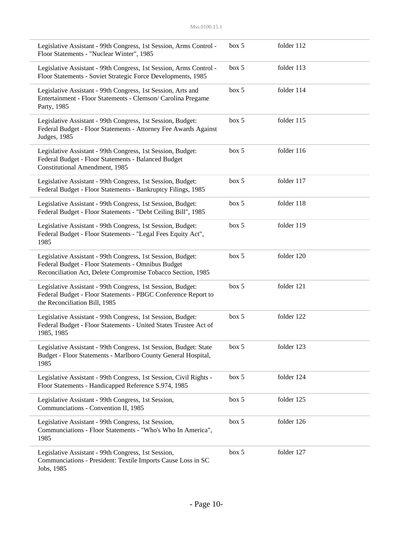| Legislative Assistant - 99th Congress, 1st Session, Arms Control -<br>Floor Statements - "Nuclear Winter", 1985                                                                  | box 5 | folder 112 |  |
|----------------------------------------------------------------------------------------------------------------------------------------------------------------------------------|-------|------------|--|
| Legislative Assistant - 99th Congress, 1st Session, Arms Control -<br>Floor Statements - Soviet Strategic Force Developments, 1985                                               | box 5 | folder 113 |  |
| Legislative Assistant - 99th Congress, 1st Session, Arts and<br>Entertainment - Floor Statements - Clemson/ Carolina Pregame<br>Party, 1985                                      | box 5 | folder 114 |  |
| Legislative Assistant - 99th Congress, 1st Session, Budget:<br>Federal Budget - Floor Statements - Attorney Fee Awards Against<br>Judges, 1985                                   | box 5 | folder 115 |  |
| Legislative Assistant - 99th Congress, 1st Session, Budget:<br>Federal Budget - Floor Statements - Balanced Budget<br><b>Constitutional Amendment, 1985</b>                      | box 5 | folder 116 |  |
| Legislative Assistant - 99th Congress, 1st Session, Budget:<br>Federal Budget - Floor Statements - Bankruptcy Filings, 1985                                                      | box 5 | folder 117 |  |
| Legislative Assistant - 99th Congress, 1st Session, Budget:<br>Federal Budget - Floor Statements - "Debt Ceiling Bill", 1985                                                     | box 5 | folder 118 |  |
| Legislative Assistant - 99th Congress, 1st Session, Budget:<br>Federal Budget - Floor Statements - "Legal Fees Equity Act",<br>1985                                              | box 5 | folder 119 |  |
| Legislative Assistant - 99th Congress, 1st Session, Budget:<br>Federal Budget - Floor Statements - Omnibus Budget<br>Reconciliation Act, Delete Compromise Tobacco Section, 1985 | box 5 | folder 120 |  |
| Legislative Assistant - 99th Congress, 1st Session, Budget:<br>Federal Budget - Floor Statements - PBGC Conference Report to<br>the Reconciliation Bill, 1985                    | box 5 | folder 121 |  |
| Legislative Assistant - 99th Congress, 1st Session, Budget:<br>Federal Budget - Floor Statements - United States Trustee Act of<br>1985, 1985                                    | box 5 | folder 122 |  |
| Legislative Assistant - 99th Congress, 1st Session, Budget: State<br>Budget - Floor Statements - Marlboro County General Hospital,<br>1985                                       | box 5 | folder 123 |  |
| Legislative Assistant - 99th Congress, 1st Session, Civil Rights -<br>Floor Statements - Handicapped Reference S.974, 1985                                                       | box 5 | folder 124 |  |
| Legislative Assistant - 99th Congress, 1st Session,<br>Communciations - Convention II, 1985                                                                                      | box 5 | folder 125 |  |
| Legislative Assistant - 99th Congress, 1st Session,<br>Communciations - Floor Statements - "Who's Who In America",<br>1985                                                       | box 5 | folder 126 |  |
| Legislative Assistant - 99th Congress, 1st Session,<br>Communciations - President: Textile Imports Cause Loss in SC<br>Jobs, 1985                                                | box 5 | folder 127 |  |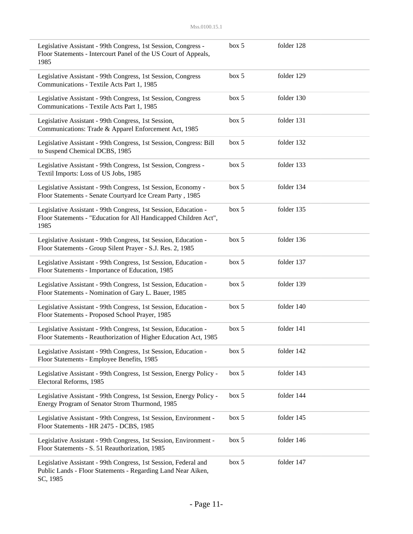| Legislative Assistant - 99th Congress, 1st Session, Congress -<br>Floor Statements - Intercourt Panel of the US Court of Appeals,<br>1985   | box~5 | folder 128 |  |
|---------------------------------------------------------------------------------------------------------------------------------------------|-------|------------|--|
| Legislative Assistant - 99th Congress, 1st Session, Congress<br>Communications - Textile Acts Part 1, 1985                                  | box~5 | folder 129 |  |
| Legislative Assistant - 99th Congress, 1st Session, Congress<br>Communications - Textile Acts Part 1, 1985                                  | box 5 | folder 130 |  |
| Legislative Assistant - 99th Congress, 1st Session,<br>Communications: Trade & Apparel Enforcement Act, 1985                                | box 5 | folder 131 |  |
| Legislative Assistant - 99th Congress, 1st Session, Congress: Bill<br>to Suspend Chemical DCBS, 1985                                        | box 5 | folder 132 |  |
| Legislative Assistant - 99th Congress, 1st Session, Congress -<br>Textil Imports: Loss of US Jobs, 1985                                     | box 5 | folder 133 |  |
| Legislative Assistant - 99th Congress, 1st Session, Economy -<br>Floor Statements - Senate Courtyard Ice Cream Party, 1985                  | box 5 | folder 134 |  |
| Legislative Assistant - 99th Congress, 1st Session, Education -<br>Floor Statements - "Education for All Handicapped Children Act",<br>1985 | box~5 | folder 135 |  |
| Legislative Assistant - 99th Congress, 1st Session, Education -<br>Floor Statements - Group Silent Prayer - S.J. Res. 2, 1985               | box 5 | folder 136 |  |
| Legislative Assistant - 99th Congress, 1st Session, Education -<br>Floor Statements - Importance of Education, 1985                         | box 5 | folder 137 |  |
| Legislative Assistant - 99th Congress, 1st Session, Education -<br>Floor Statements - Nomination of Gary L. Bauer, 1985                     | box 5 | folder 139 |  |
| Legislative Assistant - 99th Congress, 1st Session, Education -<br>Floor Statements - Proposed School Prayer, 1985                          | box 5 | folder 140 |  |
| Legislative Assistant - 99th Congress, 1st Session, Education -<br>Floor Statements - Reauthorization of Higher Education Act, 1985         | box 5 | folder 141 |  |
| Legislative Assistant - 99th Congress, 1st Session, Education -<br>Floor Statements - Employee Benefits, 1985                               | box 5 | folder 142 |  |
| Legislative Assistant - 99th Congress, 1st Session, Energy Policy -<br>Electoral Reforms, 1985                                              | box 5 | folder 143 |  |
| Legislative Assistant - 99th Congress, 1st Session, Energy Policy -<br>Energy Program of Senator Strom Thurmond, 1985                       | box 5 | folder 144 |  |
| Legislative Assistant - 99th Congress, 1st Session, Environment -<br>Floor Statements - HR 2475 - DCBS, 1985                                | box 5 | folder 145 |  |
| Legislative Assistant - 99th Congress, 1st Session, Environment -<br>Floor Statements - S. 51 Reauthorization, 1985                         | box 5 | folder 146 |  |
| Legislative Assistant - 99th Congress, 1st Session, Federal and<br>Public Lands - Floor Statements - Regarding Land Near Aiken,<br>SC, 1985 | box 5 | folder 147 |  |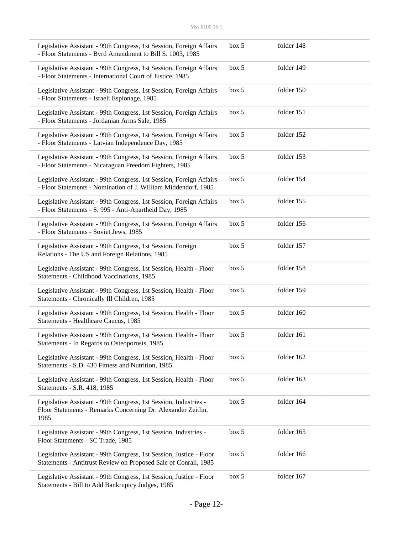| Legislative Assistant - 99th Congress, 1st Session, Foreign Affairs<br>- Floor Statements - Byrd Amendment to Bill S. 1003, 1985         | box 5 | folder 148 |  |
|------------------------------------------------------------------------------------------------------------------------------------------|-------|------------|--|
| Legislative Assistant - 99th Congress, 1st Session, Foreign Affairs<br>- Floor Statements - International Court of Justice, 1985         | box 5 | folder 149 |  |
| Legislative Assistant - 99th Congress, 1st Session, Foreign Affairs<br>- Floor Statements - Israeli Espionage, 1985                      | box 5 | folder 150 |  |
| Legislative Assistant - 99th Congress, 1st Session, Foreign Affairs<br>- Floor Statements - Jordanian Arms Sale, 1985                    | box 5 | folder 151 |  |
| Legislative Assistant - 99th Congress, 1st Session, Foreign Affairs<br>- Floor Statements - Latvian Independence Day, 1985               | box 5 | folder 152 |  |
| Legislative Assistant - 99th Congress, 1st Session, Foreign Affairs<br>- Floor Statements - Nicaraguan Freedom Fighters, 1985            | box 5 | folder 153 |  |
| Legislative Assistant - 99th Congress, 1st Session, Foreign Affairs<br>- Floor Statements - Nomination of J. WIlliam Middendorf, 1985    | box 5 | folder 154 |  |
| Legislative Assistant - 99th Congress, 1st Session, Foreign Affairs<br>- Floor Statements - S. 995 - Anti-Apartheid Day, 1985            | box 5 | folder 155 |  |
| Legislative Assistant - 99th Congress, 1st Session, Foreign Affairs<br>- Floor Statements - Soviet Jews, 1985                            | box 5 | folder 156 |  |
| Legislative Assistant - 99th Congress, 1st Session, Foreign<br>Relations - The US and Foreign Relations, 1985                            | box 5 | folder 157 |  |
| Legislative Assistant - 99th Congress, 1st Session, Health - Floor<br>Statements - Childhood Vaccinations, 1985                          | box 5 | folder 158 |  |
| Legislative Assistant - 99th Congress, 1st Session, Health - Floor<br>Statements - Chronically Ill Children, 1985                        | box 5 | folder 159 |  |
| Legislative Assistant - 99th Congress, 1st Session, Health - Floor<br>Statements - Healthcare Caucus, 1985                               | box 5 | folder 160 |  |
| Legislative Assistant - 99th Congress, 1st Session, Health - Floor<br>Statements - In Regards to Osteoporosis, 1985                      | box 5 | folder 161 |  |
| Legislative Assistant - 99th Congress, 1st Session, Health - Floor<br>Statements - S.D. 430 Fitness and Nutrition, 1985                  | box 5 | folder 162 |  |
| Legislative Assistant - 99th Congress, 1st Session, Health - Floor<br>Statements - S.R. 418, 1985                                        | box 5 | folder 163 |  |
| Legislative Assistant - 99th Congress, 1st Session, Industries -<br>Floor Statements - Remarks Concerning Dr. Alexander Zeitlin,<br>1985 | box 5 | folder 164 |  |
| Legislative Assistant - 99th Congress, 1st Session, Industries -<br>Floor Statements - SC Trade, 1985                                    | box 5 | folder 165 |  |
| Legislative Assistant - 99th Congress, 1st Session, Justice - Floor<br>Statements - Antitrust Review on Proposed Sale of Conrail, 1985   | box 5 | folder 166 |  |
| Legislative Assistant - 99th Congress, 1st Session, Justice - Floor<br>Statements - Bill to Add Bankruptcy Judges, 1985                  | box 5 | folder 167 |  |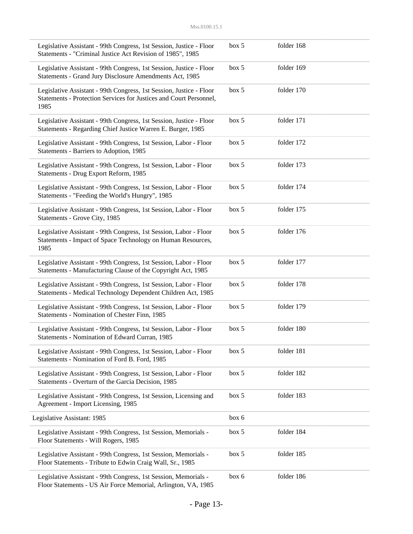| Legislative Assistant - 99th Congress, 1st Session, Justice - Floor<br>Statements - "Criminal Justice Act Revision of 1985", 1985                 | box 5 | folder 168 |  |
|---------------------------------------------------------------------------------------------------------------------------------------------------|-------|------------|--|
| Legislative Assistant - 99th Congress, 1st Session, Justice - Floor<br>Statements - Grand Jury Disclosure Amendments Act, 1985                    | box 5 | folder 169 |  |
| Legislative Assistant - 99th Congress, 1st Session, Justice - Floor<br>Statements - Protection Services for Justices and Court Personnel,<br>1985 | box 5 | folder 170 |  |
| Legislative Assistant - 99th Congress, 1st Session, Justice - Floor<br>Statements - Regarding Chief Justice Warren E. Burger, 1985                | box 5 | folder 171 |  |
| Legislative Assistant - 99th Congress, 1st Session, Labor - Floor<br>Statements - Barriers to Adoption, 1985                                      | box 5 | folder 172 |  |
| Legislative Assistant - 99th Congress, 1st Session, Labor - Floor<br>Statements - Drug Export Reform, 1985                                        | box 5 | folder 173 |  |
| Legislative Assistant - 99th Congress, 1st Session, Labor - Floor<br>Statements - "Feeding the World's Hungry", 1985                              | box 5 | folder 174 |  |
| Legislative Assistant - 99th Congress, 1st Session, Labor - Floor<br>Statements - Grove City, 1985                                                | box 5 | folder 175 |  |
| Legislative Assistant - 99th Congress, 1st Session, Labor - Floor<br>Statements - Impact of Space Technology on Human Resources,<br>1985          | box 5 | folder 176 |  |
| Legislative Assistant - 99th Congress, 1st Session, Labor - Floor<br>Statements - Manufacturing Clause of the Copyright Act, 1985                 | box 5 | folder 177 |  |
| Legislative Assistant - 99th Congress, 1st Session, Labor - Floor<br>Statements - Medical Technology Dependent Children Act, 1985                 | box 5 | folder 178 |  |
| Legislative Assistant - 99th Congress, 1st Session, Labor - Floor<br>Statements - Nomination of Chester Finn, 1985                                | box 5 | folder 179 |  |
| Legislative Assistant - 99th Congress, 1st Session, Labor - Floor<br>Statements - Nomination of Edward Curran, 1985                               | box 5 | folder 180 |  |
| Legislative Assistant - 99th Congress, 1st Session, Labor - Floor<br>Statements - Nomination of Ford B. Ford, 1985                                | box 5 | folder 181 |  |
| Legislative Assistant - 99th Congress, 1st Session, Labor - Floor<br>Statements - Overturn of the Garcia Decision, 1985                           | box 5 | folder 182 |  |
| Legislative Assistant - 99th Congress, 1st Session, Licensing and<br>Agreement - Import Licensing, 1985                                           | box 5 | folder 183 |  |
| Legislative Assistant: 1985                                                                                                                       | box 6 |            |  |
| Legislative Assistant - 99th Congress, 1st Session, Memorials -<br>Floor Statements - Will Rogers, 1985                                           | box 5 | folder 184 |  |
| Legislative Assistant - 99th Congress, 1st Session, Memorials -<br>Floor Statements - Tribute to Edwin Craig Wall, Sr., 1985                      | box 5 | folder 185 |  |
| Legislative Assistant - 99th Congress, 1st Session, Memorials -<br>Floor Statements - US Air Force Memorial, Arlington, VA, 1985                  | box 6 | folder 186 |  |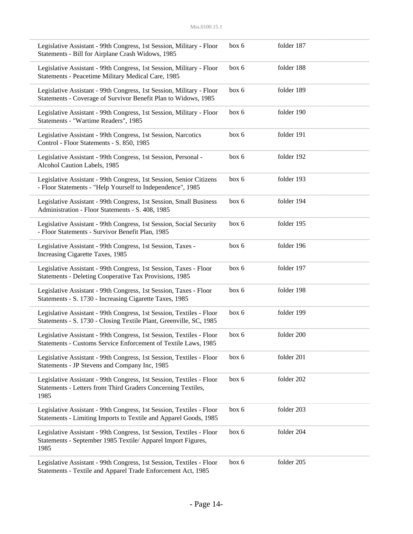| Legislative Assistant - 99th Congress, 1st Session, Military - Floor<br>Statements - Bill for Airplane Crash Widows, 1985                    | box 6 | folder 187 |  |
|----------------------------------------------------------------------------------------------------------------------------------------------|-------|------------|--|
| Legislative Assistant - 99th Congress, 1st Session, Military - Floor<br>Statements - Peacetime Military Medical Care, 1985                   | box 6 | folder 188 |  |
| Legislative Assistant - 99th Congress, 1st Session, Military - Floor<br>Statements - Coverage of Survivor Benefit Plan to Widows, 1985       | box 6 | folder 189 |  |
| Legislative Assistant - 99th Congress, 1st Session, Military - Floor<br>Statements - "Wartime Readers", 1985                                 | box 6 | folder 190 |  |
| Legislative Assistant - 99th Congress, 1st Session, Narcotics<br>Control - Floor Statements - S. 850, 1985                                   | box 6 | folder 191 |  |
| Legislative Assistant - 99th Congress, 1st Session, Personal -<br>Alcohol Caution Labels, 1985                                               | box 6 | folder 192 |  |
| Legislative Assistant - 99th Congress, 1st Session, Senior Citizens<br>- Floor Statements - "Help Yourself to Independence", 1985            | box 6 | folder 193 |  |
| Legislative Assistant - 99th Congress, 1st Session, Small Business<br>Administration - Floor Statements - S. 408, 1985                       | box 6 | folder 194 |  |
| Legislative Assistant - 99th Congress, 1st Session, Social Security<br>- Floor Statements - Survivor Benefit Plan, 1985                      | box 6 | folder 195 |  |
| Legislative Assistant - 99th Congress, 1st Session, Taxes -<br>Increasing Cigarette Taxes, 1985                                              | box 6 | folder 196 |  |
| Legislative Assistant - 99th Congress, 1st Session, Taxes - Floor<br>Statements - Deleting Cooperative Tax Provisions, 1985                  | box 6 | folder 197 |  |
| Legislative Assistant - 99th Congress, 1st Session, Taxes - Floor<br>Statements - S. 1730 - Increasing Cigarette Taxes, 1985                 | box 6 | folder 198 |  |
| Legislative Assistant - 99th Congress, 1st Session, Textiles - Floor<br>Statements - S. 1730 - Closing Textile Plant, Greenville, SC, 1985   | box 6 | folder 199 |  |
| Legislative Assistant - 99th Congress, 1st Session, Textiles - Floor<br>Statements - Customs Service Enforcement of Textile Laws, 1985       | box 6 | folder 200 |  |
| Legislative Assistant - 99th Congress, 1st Session, Textiles - Floor<br>Statements - JP Stevens and Company Inc, 1985                        | box 6 | folder 201 |  |
| Legislative Assistant - 99th Congress, 1st Session, Textiles - Floor<br>Statements - Letters from Third Graders Concerning Textiles,<br>1985 | box 6 | folder 202 |  |
| Legislative Assistant - 99th Congress, 1st Session, Textiles - Floor<br>Statements - Limiting Imports to Textile and Apparel Goods, 1985     | box 6 | folder 203 |  |
| Legislative Assistant - 99th Congress, 1st Session, Textiles - Floor<br>Statements - September 1985 Textile/ Apparel Import Figures,<br>1985 | box 6 | folder 204 |  |
| Legislative Assistant - 99th Congress, 1st Session, Textiles - Floor<br>Statements - Textile and Apparel Trade Enforcement Act, 1985         | box 6 | folder 205 |  |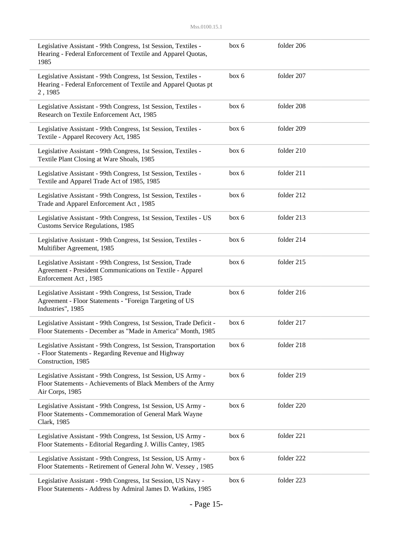| Legislative Assistant - 99th Congress, 1st Session, Textiles -<br>Hearing - Federal Enforcement of Textile and Apparel Quotas,<br>1985           | box 6 | folder 206 |  |
|--------------------------------------------------------------------------------------------------------------------------------------------------|-------|------------|--|
| Legislative Assistant - 99th Congress, 1st Session, Textiles -<br>Hearing - Federal Enforcement of Textile and Apparel Quotas pt<br>2,1985       | box 6 | folder 207 |  |
| Legislative Assistant - 99th Congress, 1st Session, Textiles -<br>Research on Textile Enforcement Act, 1985                                      | box 6 | folder 208 |  |
| Legislative Assistant - 99th Congress, 1st Session, Textiles -<br>Textile - Apparel Recovery Act, 1985                                           | box 6 | folder 209 |  |
| Legislative Assistant - 99th Congress, 1st Session, Textiles -<br>Textile Plant Closing at Ware Shoals, 1985                                     | box 6 | folder 210 |  |
| Legislative Assistant - 99th Congress, 1st Session, Textiles -<br>Textile and Apparel Trade Act of 1985, 1985                                    | box 6 | folder 211 |  |
| Legislative Assistant - 99th Congress, 1st Session, Textiles -<br>Trade and Apparel Enforcement Act, 1985                                        | box 6 | folder 212 |  |
| Legislative Assistant - 99th Congress, 1st Session, Textiles - US<br>Customs Service Regulations, 1985                                           | box 6 | folder 213 |  |
| Legislative Assistant - 99th Congress, 1st Session, Textiles -<br>Multifiber Agreement, 1985                                                     | box 6 | folder 214 |  |
| Legislative Assistant - 99th Congress, 1st Session, Trade<br>Agreement - President Communications on Textile - Apparel<br>Enforcement Act, 1985  | box 6 | folder 215 |  |
| Legislative Assistant - 99th Congress, 1st Session, Trade<br>Agreement - Floor Statements - "Foreign Targeting of US<br>Industries", 1985        | box 6 | folder 216 |  |
| Legislative Assistant - 99th Congress, 1st Session, Trade Deficit -<br>Floor Statements - December as "Made in America" Month, 1985              | box 6 | folder 217 |  |
| Legislative Assistant - 99th Congress, 1st Session, Transportation<br>- Floor Statements - Regarding Revenue and Highway<br>Construction, 1985   | box 6 | folder 218 |  |
| Legislative Assistant - 99th Congress, 1st Session, US Army -<br>Floor Statements - Achievements of Black Members of the Army<br>Air Corps, 1985 | box 6 | folder 219 |  |
| Legislative Assistant - 99th Congress, 1st Session, US Army -<br>Floor Statements - Commemoration of General Mark Wayne<br>Clark, 1985           | box 6 | folder 220 |  |
| Legislative Assistant - 99th Congress, 1st Session, US Army -<br>Floor Statements - Editorial Regarding J. Willis Cantey, 1985                   | box 6 | folder 221 |  |
| Legislative Assistant - 99th Congress, 1st Session, US Army -<br>Floor Statements - Retirement of General John W. Vessey, 1985                   | box 6 | folder 222 |  |
| Legislative Assistant - 99th Congress, 1st Session, US Navy -<br>Floor Statements - Address by Admiral James D. Watkins, 1985                    | box 6 | folder 223 |  |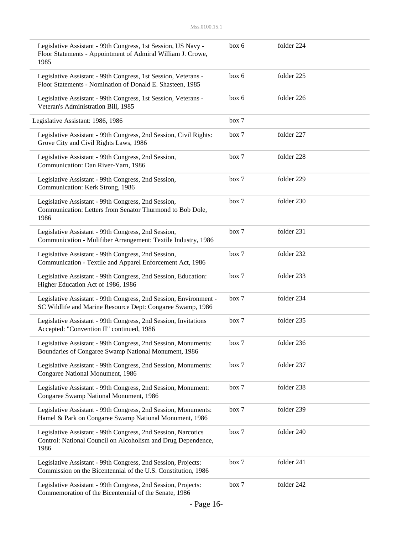| Legislative Assistant - 99th Congress, 1st Session, US Navy -<br>Floor Statements - Appointment of Admiral William J. Crowe,<br>1985  | box 6 | folder 224 |  |
|---------------------------------------------------------------------------------------------------------------------------------------|-------|------------|--|
| Legislative Assistant - 99th Congress, 1st Session, Veterans -<br>Floor Statements - Nomination of Donald E. Shasteen, 1985           | box 6 | folder 225 |  |
| Legislative Assistant - 99th Congress, 1st Session, Veterans -<br>Veteran's Administration Bill, 1985                                 | box 6 | folder 226 |  |
| Legislative Assistant: 1986, 1986                                                                                                     | box 7 |            |  |
| Legislative Assistant - 99th Congress, 2nd Session, Civil Rights:<br>Grove City and Civil Rights Laws, 1986                           | box 7 | folder 227 |  |
| Legislative Assistant - 99th Congress, 2nd Session,<br>Communication: Dan River-Yarn, 1986                                            | box 7 | folder 228 |  |
| Legislative Assistant - 99th Congress, 2nd Session,<br>Communication: Kerk Strong, 1986                                               | box 7 | folder 229 |  |
| Legislative Assistant - 99th Congress, 2nd Session,<br>Communication: Letters from Senator Thurmond to Bob Dole,<br>1986              | box 7 | folder 230 |  |
| Legislative Assistant - 99th Congress, 2nd Session,<br>Communication - Mulifiber Arrangement: Textile Industry, 1986                  | box 7 | folder 231 |  |
| Legislative Assistant - 99th Congress, 2nd Session,<br>Communication - Textile and Apparel Enforcement Act, 1986                      | box 7 | folder 232 |  |
| Legislative Assistant - 99th Congress, 2nd Session, Education:<br>Higher Education Act of 1986, 1986                                  | box 7 | folder 233 |  |
| Legislative Assistant - 99th Congress, 2nd Session, Environment -<br>SC Wildlife and Marine Resource Dept: Congaree Swamp, 1986       | box 7 | folder 234 |  |
| Legislative Assistant - 99th Congress, 2nd Session, Invitations<br>Accepted: "Convention II" continued, 1986                          | box 7 | folder 235 |  |
| Legislative Assistant - 99th Congress, 2nd Session, Monuments:<br>Boundaries of Congaree Swamp National Monument, 1986                | box 7 | folder 236 |  |
| Legislative Assistant - 99th Congress, 2nd Session, Monuments:<br>Congaree National Monument, 1986                                    | box 7 | folder 237 |  |
| Legislative Assistant - 99th Congress, 2nd Session, Monument:<br>Congaree Swamp National Monument, 1986                               | box 7 | folder 238 |  |
| Legislative Assistant - 99th Congress, 2nd Session, Monuments:<br>Hamel & Park on Congaree Swamp National Monument, 1986              | box 7 | folder 239 |  |
| Legislative Assistant - 99th Congress, 2nd Session, Narcotics<br>Control: National Council on Alcoholism and Drug Dependence,<br>1986 | box 7 | folder 240 |  |
| Legislative Assistant - 99th Congress, 2nd Session, Projects:<br>Commission on the Bicentennial of the U.S. Constitution, 1986        | box 7 | folder 241 |  |
| Legislative Assistant - 99th Congress, 2nd Session, Projects:<br>Commemoration of the Bicentennial of the Senate, 1986                | box 7 | folder 242 |  |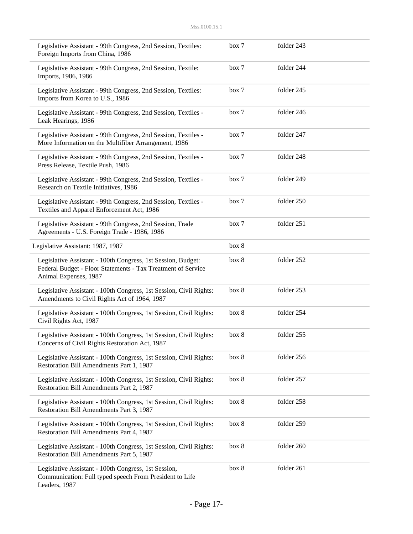| Legislative Assistant - 99th Congress, 2nd Session, Textiles:<br>Foreign Imports from China, 1986                                                     | box 7 | folder 243 |  |
|-------------------------------------------------------------------------------------------------------------------------------------------------------|-------|------------|--|
| Legislative Assistant - 99th Congress, 2nd Session, Textile:<br>Imports, 1986, 1986                                                                   | box 7 | folder 244 |  |
| Legislative Assistant - 99th Congress, 2nd Session, Textiles:<br>Imports from Korea to U.S., 1986                                                     | box 7 | folder 245 |  |
| Legislative Assistant - 99th Congress, 2nd Session, Textiles -<br>Leak Hearings, 1986                                                                 | box 7 | folder 246 |  |
| Legislative Assistant - 99th Congress, 2nd Session, Textiles -<br>More Information on the Multifiber Arrangement, 1986                                | box 7 | folder 247 |  |
| Legislative Assistant - 99th Congress, 2nd Session, Textiles -<br>Press Release, Textile Push, 1986                                                   | box 7 | folder 248 |  |
| Legislative Assistant - 99th Congress, 2nd Session, Textiles -<br>Research on Textile Initiatives, 1986                                               | box 7 | folder 249 |  |
| Legislative Assistant - 99th Congress, 2nd Session, Textiles -<br>Textiles and Apparel Enforcement Act, 1986                                          | box 7 | folder 250 |  |
| Legislative Assistant - 99th Congress, 2nd Session, Trade<br>Agreements - U.S. Foreign Trade - 1986, 1986                                             | box 7 | folder 251 |  |
| Legislative Assistant: 1987, 1987                                                                                                                     | box 8 |            |  |
| Legislative Assistant - 100th Congress, 1st Session, Budget:<br>Federal Budget - Floor Statements - Tax Treatment of Service<br>Animal Expenses, 1987 | box 8 | folder 252 |  |
| Legislative Assistant - 100th Congress, 1st Session, Civil Rights:<br>Amendments to Civil Rights Act of 1964, 1987                                    | box 8 | folder 253 |  |
| Legislative Assistant - 100th Congress, 1st Session, Civil Rights:<br>Civil Rights Act, 1987                                                          | box 8 | folder 254 |  |
| Legislative Assistant - 100th Congress, 1st Session, Civil Rights:<br>Concerns of Civil Rights Restoration Act, 1987                                  | box 8 | folder 255 |  |
| Legislative Assistant - 100th Congress, 1st Session, Civil Rights:<br>Restoration Bill Amendments Part 1, 1987                                        | box 8 | folder 256 |  |
| Legislative Assistant - 100th Congress, 1st Session, Civil Rights:<br>Restoration Bill Amendments Part 2, 1987                                        | box 8 | folder 257 |  |
| Legislative Assistant - 100th Congress, 1st Session, Civil Rights:<br>Restoration Bill Amendments Part 3, 1987                                        | box 8 | folder 258 |  |
| Legislative Assistant - 100th Congress, 1st Session, Civil Rights:<br>Restoration Bill Amendments Part 4, 1987                                        | box 8 | folder 259 |  |
| Legislative Assistant - 100th Congress, 1st Session, Civil Rights:<br>Restoration Bill Amendments Part 5, 1987                                        | box 8 | folder 260 |  |
| Legislative Assistant - 100th Congress, 1st Session,<br>Communication: Full typed speech From President to Life<br>Leaders, 1987                      | box 8 | folder 261 |  |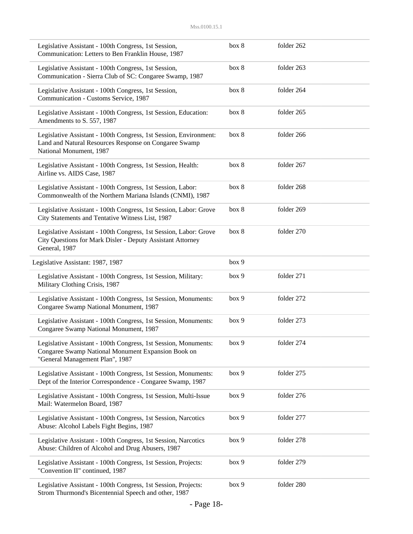| Legislative Assistant - 100th Congress, 1st Session,<br>Communication: Letters to Ben Franklin House, 1987                                               | box 8 | folder 262 |  |
|----------------------------------------------------------------------------------------------------------------------------------------------------------|-------|------------|--|
| Legislative Assistant - 100th Congress, 1st Session,<br>Communication - Sierra Club of SC: Congaree Swamp, 1987                                          | box 8 | folder 263 |  |
| Legislative Assistant - 100th Congress, 1st Session,<br>Communication - Customs Service, 1987                                                            | box 8 | folder 264 |  |
| Legislative Assistant - 100th Congress, 1st Session, Education:<br>Amendments to S. 557, 1987                                                            | box 8 | folder 265 |  |
| Legislative Assistant - 100th Congress, 1st Session, Environment:<br>Land and Natural Resources Response on Congaree Swamp<br>National Monument, 1987    | box 8 | folder 266 |  |
| Legislative Assistant - 100th Congress, 1st Session, Health:<br>Airline vs. AIDS Case, 1987                                                              | box 8 | folder 267 |  |
| Legislative Assistant - 100th Congress, 1st Session, Labor:<br>Commonwealth of the Northern Mariana Islands (CNMI), 1987                                 | box 8 | folder 268 |  |
| Legislative Assistant - 100th Congress, 1st Session, Labor: Grove<br>City Statements and Tentative Witness List, 1987                                    | box 8 | folder 269 |  |
| Legislative Assistant - 100th Congress, 1st Session, Labor: Grove<br>City Questions for Mark Disler - Deputy Assistant Attorney<br>General, 1987         | box 8 | folder 270 |  |
| Legislative Assistant: 1987, 1987                                                                                                                        | box 9 |            |  |
| Legislative Assistant - 100th Congress, 1st Session, Military:<br>Military Clothing Crisis, 1987                                                         | box 9 | folder 271 |  |
| Legislative Assistant - 100th Congress, 1st Session, Monuments:<br>Congaree Swamp National Monument, 1987                                                | box 9 | folder 272 |  |
| Legislative Assistant - 100th Congress, 1st Session, Monuments:<br>Congaree Swamp National Monument, 1987                                                | box 9 | folder 273 |  |
| Legislative Assistant - 100th Congress, 1st Session, Monuments:<br>Congaree Swamp National Monument Expansion Book on<br>"General Management Plan", 1987 | box 9 | folder 274 |  |
| Legislative Assistant - 100th Congress, 1st Session, Monuments:<br>Dept of the Interior Correspondence - Congaree Swamp, 1987                            | box 9 | folder 275 |  |
| Legislative Assistant - 100th Congress, 1st Session, Multi-Issue<br>Mail: Watermelon Board, 1987                                                         | box 9 | folder 276 |  |
| Legislative Assistant - 100th Congress, 1st Session, Narcotics<br>Abuse: Alcohol Labels Fight Begins, 1987                                               | box 9 | folder 277 |  |
| Legislative Assistant - 100th Congress, 1st Session, Narcotics<br>Abuse: Children of Alcohol and Drug Abusers, 1987                                      | box 9 | folder 278 |  |
| Legislative Assistant - 100th Congress, 1st Session, Projects:<br>"Convention II" continued, 1987                                                        | box 9 | folder 279 |  |
| Legislative Assistant - 100th Congress, 1st Session, Projects:<br>Strom Thurmond's Bicentennial Speech and other, 1987                                   | box 9 | folder 280 |  |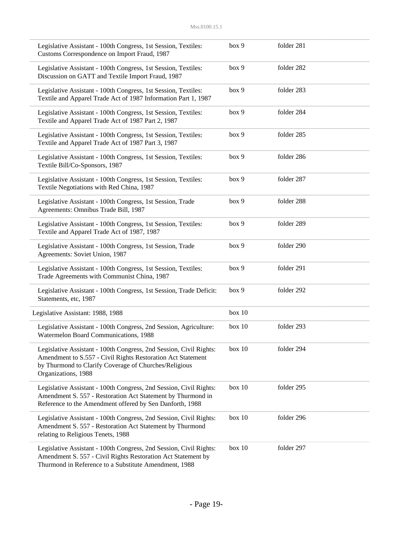| Legislative Assistant - 100th Congress, 1st Session, Textiles:<br>Customs Correspondence on Import Fraud, 1987                                                                                                    | box 9  | folder 281 |
|-------------------------------------------------------------------------------------------------------------------------------------------------------------------------------------------------------------------|--------|------------|
| Legislative Assistant - 100th Congress, 1st Session, Textiles:<br>Discussion on GATT and Textile Import Fraud, 1987                                                                                               | box 9  | folder 282 |
| Legislative Assistant - 100th Congress, 1st Session, Textiles:<br>Textile and Apparel Trade Act of 1987 Information Part 1, 1987                                                                                  | box 9  | folder 283 |
| Legislative Assistant - 100th Congress, 1st Session, Textiles:<br>Textile and Apparel Trade Act of 1987 Part 2, 1987                                                                                              | box 9  | folder 284 |
| Legislative Assistant - 100th Congress, 1st Session, Textiles:<br>Textile and Apparel Trade Act of 1987 Part 3, 1987                                                                                              | box 9  | folder 285 |
| Legislative Assistant - 100th Congress, 1st Session, Textiles:<br>Textile Bill/Co-Sponsors, 1987                                                                                                                  | box 9  | folder 286 |
| Legislative Assistant - 100th Congress, 1st Session, Textiles:<br>Textile Negotiations with Red China, 1987                                                                                                       | box 9  | folder 287 |
| Legislative Assistant - 100th Congress, 1st Session, Trade<br>Agreements: Omnibus Trade Bill, 1987                                                                                                                | box 9  | folder 288 |
| Legislative Assistant - 100th Congress, 1st Session, Textiles:<br>Textile and Apparel Trade Act of 1987, 1987                                                                                                     | box 9  | folder 289 |
| Legislative Assistant - 100th Congress, 1st Session, Trade<br>Agreements: Soviet Union, 1987                                                                                                                      | box 9  | folder 290 |
| Legislative Assistant - 100th Congress, 1st Session, Textiles:<br>Trade Agreements with Communist China, 1987                                                                                                     | box 9  | folder 291 |
| Legislative Assistant - 100th Congress, 1st Session, Trade Deficit:<br>Statements, etc, 1987                                                                                                                      | box 9  | folder 292 |
| Legislative Assistant: 1988, 1988                                                                                                                                                                                 | box 10 |            |
| Legislative Assistant - 100th Congress, 2nd Session, Agriculture:<br>Watermelon Board Communications, 1988                                                                                                        | box 10 | folder 293 |
| Legislative Assistant - 100th Congress, 2nd Session, Civil Rights:<br>Amendment to S.557 - Civil Rights Restoration Act Statement<br>by Thurmond to Clarify Coverage of Churches/Religious<br>Organizations, 1988 | box 10 | folder 294 |
| Legislative Assistant - 100th Congress, 2nd Session, Civil Rights:<br>Amendment S. 557 - Restoration Act Statement by Thurmond in<br>Reference to the Amendment offered by Sen Danforth, 1988                     | box 10 | folder 295 |
| Legislative Assistant - 100th Congress, 2nd Session, Civil Rights:<br>Amendment S. 557 - Restoration Act Statement by Thurmond<br>relating to Religious Tenets, 1988                                              | box 10 | folder 296 |
| Legislative Assistant - 100th Congress, 2nd Session, Civil Rights:<br>Amendment S. 557 - Civil Rights Restoration Act Statement by<br>Thurmond in Reference to a Substitute Amendment, 1988                       | box 10 | folder 297 |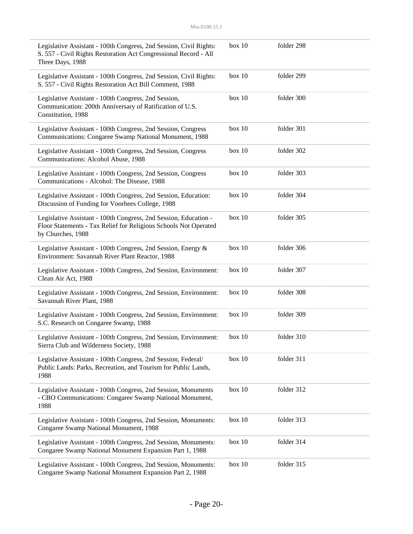| Legislative Assistant - 100th Congress, 2nd Session, Civil Rights:<br>S. 557 - Civil Rights Restoration Act Congressional Record - All<br>Three Days, 1988 | box 10   | folder 298 |  |
|------------------------------------------------------------------------------------------------------------------------------------------------------------|----------|------------|--|
| Legislative Assistant - 100th Congress, 2nd Session, Civil Rights:<br>S. 557 - Civil Rights Restoration Act Bill Comment, 1988                             | box 10   | folder 299 |  |
| Legislative Assistant - 100th Congress, 2nd Session,<br>Communication: 200th Anniversary of Ratification of U.S.<br>Constitution, 1988                     | box 10   | folder 300 |  |
| Legislative Assistant - 100th Congress, 2nd Session, Congress<br>Communications: Congaree Swamp National Monument, 1988                                    | box 10   | folder 301 |  |
| Legislative Assistant - 100th Congress, 2nd Session, Congress<br>Communications: Alcohol Abuse, 1988                                                       | box 10   | folder 302 |  |
| Legislative Assistant - 100th Congress, 2nd Session, Congress<br>Communications - Alcohol: The Disease, 1988                                               | box 10   | folder 303 |  |
| Legislative Assistant - 100th Congress, 2nd Session, Education:<br>Discussion of Funding for Voorhees College, 1988                                        | box 10   | folder 304 |  |
| Legislative Assistant - 100th Congress, 2nd Session, Education -<br>Floor Statements - Tax Relief for Religious Schools Not Operated<br>by Churches, 1988  | box 10   | folder 305 |  |
| Legislative Assistant - 100th Congress, 2nd Session, Energy &<br>Environment: Savannah River Plant Reactor, 1988                                           | box 10   | folder 306 |  |
| Legislative Assistant - 100th Congress, 2nd Session, Environment:<br>Clean Air Act, 1988                                                                   | box 10   | folder 307 |  |
| Legislative Assistant - 100th Congress, 2nd Session, Environment:<br>Savannah River Plant, 1988                                                            | box 10   | folder 308 |  |
| Legislative Assistant - 100th Congress, 2nd Session, Environment:<br>S.C. Research on Congaree Swamp, 1988                                                 | box 10   | folder 309 |  |
| Legislative Assistant - 100th Congress, 2nd Session, Environment:<br>Sierra Club and Wilderness Society, 1988                                              | box 10   | folder 310 |  |
| Legislative Assistant - 100th Congress, 2nd Session, Federal/<br>Public Lands: Parks, Recreation, and Tourism for Public Lands,<br>1988                    | box 10   | folder 311 |  |
| Legislative Assistant - 100th Congress, 2nd Session, Monuments<br>- CBO Communications: Congaree Swamp National Monument,<br>1988                          | box 10   | folder 312 |  |
| Legislative Assistant - 100th Congress, 2nd Session, Monuments:<br>Congaree Swamp National Monument, 1988                                                  | box 10   | folder 313 |  |
| Legislative Assistant - 100th Congress, 2nd Session, Monuments:<br>Congaree Swamp National Monument Expansion Part 1, 1988                                 | box 10   | folder 314 |  |
| Legislative Assistant - 100th Congress, 2nd Session, Monuments:<br>Congaree Swamp National Monument Expansion Part 2, 1988                                 | box $10$ | folder 315 |  |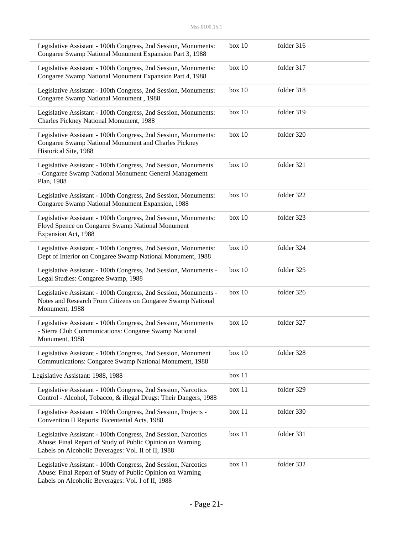| Legislative Assistant - 100th Congress, 2nd Session, Monuments:<br>Congaree Swamp National Monument Expansion Part 3, 1988                                                        | box 10 | folder 316 |  |
|-----------------------------------------------------------------------------------------------------------------------------------------------------------------------------------|--------|------------|--|
| Legislative Assistant - 100th Congress, 2nd Session, Monuments:<br>Congaree Swamp National Monument Expansion Part 4, 1988                                                        | box 10 | folder 317 |  |
| Legislative Assistant - 100th Congress, 2nd Session, Monuments:<br>Congaree Swamp National Monument, 1988                                                                         | box 10 | folder 318 |  |
| Legislative Assistant - 100th Congress, 2nd Session, Monuments:<br>Charles Pickney National Monument, 1988                                                                        | box 10 | folder 319 |  |
| Legislative Assistant - 100th Congress, 2nd Session, Monuments:<br>Congaree Swamp National Monument and Charles Pickney<br>Historical Site, 1988                                  | box 10 | folder 320 |  |
| Legislative Assistant - 100th Congress, 2nd Session, Monuments<br>- Congaree Swamp National Monument: General Management<br>Plan, 1988                                            | box 10 | folder 321 |  |
| Legislative Assistant - 100th Congress, 2nd Session, Monuments:<br>Congaree Swamp National Monument Expansion, 1988                                                               | box 10 | folder 322 |  |
| Legislative Assistant - 100th Congress, 2nd Session, Monuments:<br>Floyd Spence on Congaree Swamp National Monument<br>Expansion Act, 1988                                        | box 10 | folder 323 |  |
| Legislative Assistant - 100th Congress, 2nd Session, Monuments:<br>Dept of Interior on Congaree Swamp National Monument, 1988                                                     | box 10 | folder 324 |  |
| Legislative Assistant - 100th Congress, 2nd Session, Monuments -<br>Legal Studies: Congaree Swamp, 1988                                                                           | box 10 | folder 325 |  |
| Legislative Assistant - 100th Congress, 2nd Session, Monuments -<br>Notes and Research From Citizens on Congaree Swamp National<br>Monument, 1988                                 | box 10 | folder 326 |  |
| Legislative Assistant - 100th Congress, 2nd Session, Monuments<br>- Sierra Club Communications: Congaree Swamp National<br>Monument, 1988                                         | box 10 | folder 327 |  |
| Legislative Assistant - 100th Congress, 2nd Session, Monument<br>Communications: Congaree Swamp National Monument, 1988                                                           | box 10 | folder 328 |  |
| Legislative Assistant: 1988, 1988                                                                                                                                                 | box 11 |            |  |
| Legislative Assistant - 100th Congress, 2nd Session, Narcotics<br>Control - Alcohol, Tobacco, & illegal Drugs: Their Dangers, 1988                                                | box 11 | folder 329 |  |
| Legislative Assistant - 100th Congress, 2nd Session, Projects -<br>Convention II Reports: Bicentenial Acts, 1988                                                                  | box 11 | folder 330 |  |
| Legislative Assistant - 100th Congress, 2nd Session, Narcotics<br>Abuse: Final Report of Study of Public Opinion on Warning<br>Labels on Alcoholic Beverages: Vol. II of II, 1988 | box 11 | folder 331 |  |
| Legislative Assistant - 100th Congress, 2nd Session, Narcotics<br>Abuse: Final Report of Study of Public Opinion on Warning<br>Labels on Alcoholic Beverages: Vol. I of II, 1988  | box 11 | folder 332 |  |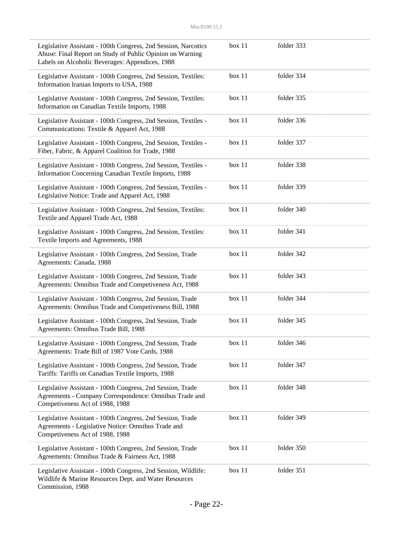| Legislative Assistant - 100th Congress, 2nd Session, Narcotics<br>Abuse: Final Report on Study of Public Opinion on Warning<br>Labels on Alcoholic Beverages: Appendices, 1988 | box 11 | folder 333 |  |
|--------------------------------------------------------------------------------------------------------------------------------------------------------------------------------|--------|------------|--|
| Legislative Assistant - 100th Congress, 2nd Session, Textiles:<br>Information Iranian Imports to USA, 1988                                                                     | box 11 | folder 334 |  |
| Legislative Assistant - 100th Congress, 2nd Session, Textiles:<br>Information on Canadian Textile Imports, 1988                                                                | box 11 | folder 335 |  |
| Legislative Assistant - 100th Congress, 2nd Session, Textiles -<br>Communications: Textile & Apparel Act, 1988                                                                 | box 11 | folder 336 |  |
| Legislative Assistant - 100th Congress, 2nd Session, Textiles -<br>Fiber, Fabric, & Apparel Coalition for Trade, 1988                                                          | box 11 | folder 337 |  |
| Legislative Assistant - 100th Congress, 2nd Session, Textiles -<br>Information Concerning Canadian Textile Imports, 1988                                                       | box 11 | folder 338 |  |
| Legislative Assistant - 100th Congress, 2nd Session, Textiles -<br>Legislative Notice: Trade and Apparel Act, 1988                                                             | box 11 | folder 339 |  |
| Legislative Assistant - 100th Congress, 2nd Session, Textiles:<br>Textile and Apparel Trade Act, 1988                                                                          | box 11 | folder 340 |  |
| Legislative Assistant - 100th Congress, 2nd Session, Textiles:<br>Textile Imports and Agreements, 1988                                                                         | box 11 | folder 341 |  |
| Legislative Assistant - 100th Congress, 2nd Session, Trade<br>Agreements: Canada, 1988                                                                                         | box 11 | folder 342 |  |
| Legislative Assistant - 100th Congress, 2nd Session, Trade<br>Agreements: Omnibus Trade and Competiveness Act, 1988                                                            | box 11 | folder 343 |  |
| Legislative Assistant - 100th Congress, 2nd Session, Trade<br>Agreements: Omnibus Trade and Competiveness Bill, 1988                                                           | box 11 | folder 344 |  |
| Legislative Assistant - 100th Congress, 2nd Session, Trade<br>Agreements: Omnibus Trade Bill, 1988                                                                             | box 11 | folder 345 |  |
| Legislative Assistant - 100th Congress, 2nd Session, Trade<br>Agreements: Trade Bill of 1987 Vote Cards, 1988                                                                  | box 11 | folder 346 |  |
| Legislative Assistant - 100th Congress, 2nd Session, Trade<br>Tariffs: Tariffs on Canadian Textile Imports, 1988                                                               | box 11 | folder 347 |  |
| Legislative Assistant - 100th Congress, 2nd Session, Trade<br>Agreements - Company Correspondence: Omnibus Trade and<br>Competiveness Act of 1988, 1988                        | box 11 | folder 348 |  |
| Legislative Assistant - 100th Congress, 2nd Session, Trade<br>Agreements - Legislative Notice: Omnibus Trade and<br>Competiveness Act of 1988, 1988                            | box 11 | folder 349 |  |
| Legislative Assistant - 100th Congress, 2nd Session, Trade<br>Agreements: Omnibus Trade & Fairness Act, 1988                                                                   | box 11 | folder 350 |  |
| Legislative Assistant - 100th Congress, 2nd Session, Wildlife:<br>Wildlife & Marine Resources Dept. and Water Resources<br>Commission, 1988                                    | box 11 | folder 351 |  |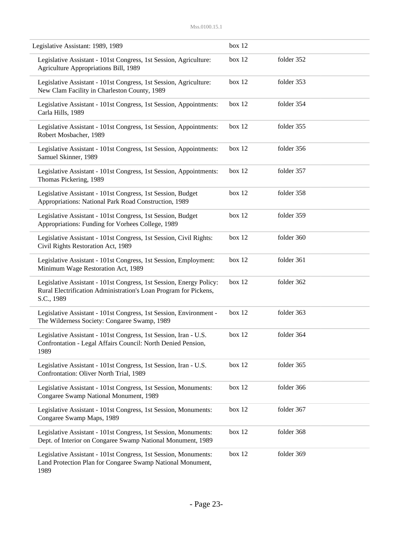| Legislative Assistant: 1989, 1989                                                                                                                     | box 12 |            |
|-------------------------------------------------------------------------------------------------------------------------------------------------------|--------|------------|
| Legislative Assistant - 101st Congress, 1st Session, Agriculture:<br>Agriculture Appropriations Bill, 1989                                            | box 12 | folder 352 |
| Legislative Assistant - 101st Congress, 1st Session, Agriculture:<br>New Clam Facility in Charleston County, 1989                                     | box 12 | folder 353 |
| Legislative Assistant - 101st Congress, 1st Session, Appointments:<br>Carla Hills, 1989                                                               | box 12 | folder 354 |
| Legislative Assistant - 101st Congress, 1st Session, Appointments:<br>Robert Mosbacher, 1989                                                          | box 12 | folder 355 |
| Legislative Assistant - 101st Congress, 1st Session, Appointments:<br>Samuel Skinner, 1989                                                            | box 12 | folder 356 |
| Legislative Assistant - 101st Congress, 1st Session, Appointments:<br>Thomas Pickering, 1989                                                          | box 12 | folder 357 |
| Legislative Assistant - 101st Congress, 1st Session, Budget<br>Appropriations: National Park Road Construction, 1989                                  | box 12 | folder 358 |
| Legislative Assistant - 101st Congress, 1st Session, Budget<br>Appropriations: Funding for Vorhees College, 1989                                      | box 12 | folder 359 |
| Legislative Assistant - 101st Congress, 1st Session, Civil Rights:<br>Civil Rights Restoration Act, 1989                                              | box 12 | folder 360 |
| Legislative Assistant - 101st Congress, 1st Session, Employment:<br>Minimum Wage Restoration Act, 1989                                                | box 12 | folder 361 |
| Legislative Assistant - 101st Congress, 1st Session, Energy Policy:<br>Rural Electrification Administration's Loan Program for Pickens,<br>S.C., 1989 | box 12 | folder 362 |
| Legislative Assistant - 101st Congress, 1st Session, Environment -<br>The Wilderness Society: Congaree Swamp, 1989                                    | box 12 | folder 363 |
| Legislative Assistant - 101st Congress, 1st Session, Iran - U.S.<br>Confrontation - Legal Affairs Council: North Denied Pension,<br>1989              | box 12 | folder 364 |
| Legislative Assistant - 101st Congress, 1st Session, Iran - U.S.<br>Confrontation: Oliver North Trial, 1989                                           | box 12 | folder 365 |
| Legislative Assistant - 101st Congress, 1st Session, Monuments:<br>Congaree Swamp National Monument, 1989                                             | box 12 | folder 366 |
| Legislative Assistant - 101st Congress, 1st Session, Monuments:<br>Congaree Swamp Maps, 1989                                                          | box 12 | folder 367 |
| Legislative Assistant - 101st Congress, 1st Session, Monuments:<br>Dept. of Interior on Congaree Swamp National Monument, 1989                        | box 12 | folder 368 |
| Legislative Assistant - 101st Congress, 1st Session, Monuments:<br>Land Protection Plan for Congaree Swamp National Monument,<br>1989                 | box 12 | folder 369 |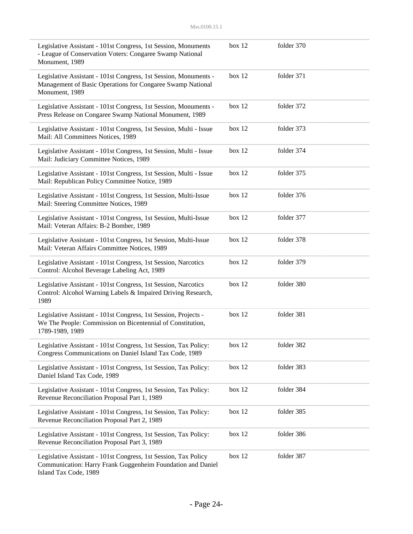| Legislative Assistant - 101st Congress, 1st Session, Monuments<br>- League of Conservation Voters: Congaree Swamp National<br>Monument, 1989            | box 12 | folder 370 |  |
|---------------------------------------------------------------------------------------------------------------------------------------------------------|--------|------------|--|
| Legislative Assistant - 101st Congress, 1st Session, Monuments -<br>Management of Basic Operations for Congaree Swamp National<br>Monument, 1989        | box 12 | folder 371 |  |
| Legislative Assistant - 101st Congress, 1st Session, Monuments -<br>Press Release on Congaree Swamp National Monument, 1989                             | box 12 | folder 372 |  |
| Legislative Assistant - 101st Congress, 1st Session, Multi - Issue<br>Mail: All Committees Notices, 1989                                                | box 12 | folder 373 |  |
| Legislative Assistant - 101st Congress, 1st Session, Multi - Issue<br>Mail: Judiciary Committee Notices, 1989                                           | box 12 | folder 374 |  |
| Legislative Assistant - 101st Congress, 1st Session, Multi - Issue<br>Mail: Republican Policy Committee Notice, 1989                                    | box 12 | folder 375 |  |
| Legislative Assistant - 101st Congress, 1st Session, Multi-Issue<br>Mail: Steering Committee Notices, 1989                                              | box 12 | folder 376 |  |
| Legislative Assistant - 101st Congress, 1st Session, Multi-Issue<br>Mail: Veteran Affairs: B-2 Bomber, 1989                                             | box 12 | folder 377 |  |
| Legislative Assistant - 101st Congress, 1st Session, Multi-Issue<br>Mail: Veteran Affairs Committee Notices, 1989                                       | box 12 | folder 378 |  |
| Legislative Assistant - 101st Congress, 1st Session, Narcotics<br>Control: Alcohol Beverage Labeling Act, 1989                                          | box 12 | folder 379 |  |
| Legislative Assistant - 101st Congress, 1st Session, Narcotics<br>Control: Alcohol Warning Labels & Impaired Driving Research,<br>1989                  | box 12 | folder 380 |  |
| Legislative Assistant - 101st Congress, 1st Session, Projects -<br>We The People: Commission on Bicentennial of Constitution,<br>1789-1989, 1989        | box 12 | folder 381 |  |
| Legislative Assistant - 101st Congress, 1st Session, Tax Policy:<br>Congress Communications on Daniel Island Tax Code, 1989                             | box 12 | folder 382 |  |
| Legislative Assistant - 101st Congress, 1st Session, Tax Policy:<br>Daniel Island Tax Code, 1989                                                        | box 12 | folder 383 |  |
| Legislative Assistant - 101st Congress, 1st Session, Tax Policy:<br>Revenue Reconciliation Proposal Part 1, 1989                                        | box 12 | folder 384 |  |
| Legislative Assistant - 101st Congress, 1st Session, Tax Policy:<br>Revenue Reconciliation Proposal Part 2, 1989                                        | box 12 | folder 385 |  |
| Legislative Assistant - 101st Congress, 1st Session, Tax Policy:<br>Revenue Reconciliation Proposal Part 3, 1989                                        | box 12 | folder 386 |  |
| Legislative Assistant - 101st Congress, 1st Session, Tax Policy<br>Communication: Harry Frank Guggenheim Foundation and Daniel<br>Island Tax Code, 1989 | box 12 | folder 387 |  |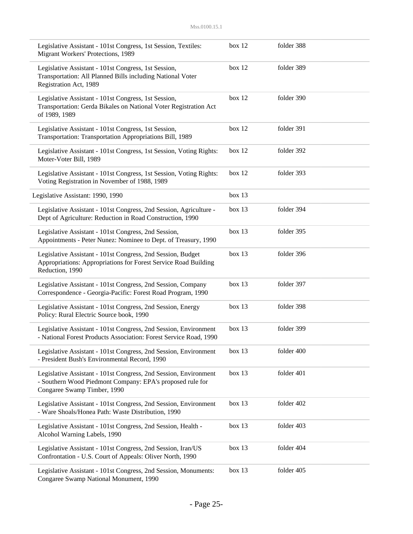| Legislative Assistant - 101st Congress, 1st Session, Textiles:<br>Migrant Workers' Protections, 1989                                                         | box 12 | folder 388 |  |
|--------------------------------------------------------------------------------------------------------------------------------------------------------------|--------|------------|--|
| Legislative Assistant - 101st Congress, 1st Session,<br>Transportation: All Planned Bills including National Voter<br>Registration Act, 1989                 | box 12 | folder 389 |  |
| Legislative Assistant - 101st Congress, 1st Session,<br>Transportation: Gerda Bikales on National Voter Registration Act<br>of 1989, 1989                    | box 12 | folder 390 |  |
| Legislative Assistant - 101st Congress, 1st Session,<br>Transportation: Transportation Appropriations Bill, 1989                                             | box 12 | folder 391 |  |
| Legislative Assistant - 101st Congress, 1st Session, Voting Rights:<br>Moter-Voter Bill, 1989                                                                | box 12 | folder 392 |  |
| Legislative Assistant - 101st Congress, 1st Session, Voting Rights:<br>Voting Registration in November of 1988, 1989                                         | box 12 | folder 393 |  |
| Legislative Assistant: 1990, 1990                                                                                                                            | box 13 |            |  |
| Legislative Assistant - 101st Congress, 2nd Session, Agriculture -<br>Dept of Agriculture: Reduction in Road Construction, 1990                              | box 13 | folder 394 |  |
| Legislative Assistant - 101st Congress, 2nd Session,<br>Appointments - Peter Nunez: Nominee to Dept. of Treasury, 1990                                       | box 13 | folder 395 |  |
| Legislative Assistant - 101st Congress, 2nd Session, Budget<br>Appropriations: Appropriations for Forest Service Road Building<br>Reduction, 1990            | box 13 | folder 396 |  |
| Legislative Assistant - 101st Congress, 2nd Session, Company<br>Correspondence - Georgia-Pacific: Forest Road Program, 1990                                  | box 13 | folder 397 |  |
| Legislative Assistant - 101st Congress, 2nd Session, Energy<br>Policy: Rural Electric Source book, 1990                                                      | box 13 | folder 398 |  |
| Legislative Assistant - 101st Congress, 2nd Session, Environment<br>National Forest Products Association: Forest Service Road, 1990                          | box 13 | folder 399 |  |
| Legislative Assistant - 101st Congress, 2nd Session, Environment<br>- President Bush's Environmental Record, 1990                                            | box 13 | folder 400 |  |
| Legislative Assistant - 101st Congress, 2nd Session, Environment<br>- Southern Wood Piedmont Company: EPA's proposed rule for<br>Congaree Swamp Timber, 1990 | box 13 | folder 401 |  |
| Legislative Assistant - 101st Congress, 2nd Session, Environment<br>- Ware Shoals/Honea Path: Waste Distribution, 1990                                       | box 13 | folder 402 |  |
| Legislative Assistant - 101st Congress, 2nd Session, Health -<br>Alcohol Warning Labels, 1990                                                                | box 13 | folder 403 |  |
| Legislative Assistant - 101st Congress, 2nd Session, Iran/US<br>Confrontation - U.S. Court of Appeals: Oliver North, 1990                                    | box 13 | folder 404 |  |
| Legislative Assistant - 101st Congress, 2nd Session, Monuments:<br>Congaree Swamp National Monument, 1990                                                    | box 13 | folder 405 |  |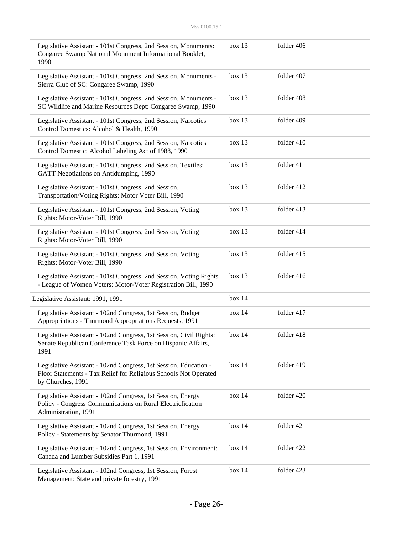| Legislative Assistant - 101st Congress, 2nd Session, Monuments:<br>Congaree Swamp National Monument Informational Booklet,<br>1990                        | box 13 | folder 406 |  |
|-----------------------------------------------------------------------------------------------------------------------------------------------------------|--------|------------|--|
| Legislative Assistant - 101st Congress, 2nd Session, Monuments -<br>Sierra Club of SC: Congaree Swamp, 1990                                               | box 13 | folder 407 |  |
| Legislative Assistant - 101st Congress, 2nd Session, Monuments -<br>SC Wildlife and Marine Resources Dept: Congaree Swamp, 1990                           | box 13 | folder 408 |  |
| Legislative Assistant - 101st Congress, 2nd Session, Narcotics<br>Control Domestics: Alcohol & Health, 1990                                               | box 13 | folder 409 |  |
| Legislative Assistant - 101st Congress, 2nd Session, Narcotics<br>Control Domestic: Alcohol Labeling Act of 1988, 1990                                    | box 13 | folder 410 |  |
| Legislative Assistant - 101st Congress, 2nd Session, Textiles:<br>GATT Negotiations on Antidumping, 1990                                                  | box 13 | folder 411 |  |
| Legislative Assistant - 101st Congress, 2nd Session,<br>Transportation/Voting Rights: Motor Voter Bill, 1990                                              | box 13 | folder 412 |  |
| Legislative Assistant - 101st Congress, 2nd Session, Voting<br>Rights: Motor-Voter Bill, 1990                                                             | box 13 | folder 413 |  |
| Legislative Assistant - 101st Congress, 2nd Session, Voting<br>Rights: Motor-Voter Bill, 1990                                                             | box 13 | folder 414 |  |
| Legislative Assistant - 101st Congress, 2nd Session, Voting<br>Rights: Motor-Voter Bill, 1990                                                             | box 13 | folder 415 |  |
| Legislative Assistant - 101st Congress, 2nd Session, Voting Rights<br>- League of Women Voters: Motor-Voter Registration Bill, 1990                       | box 13 | folder 416 |  |
| Legislative Assistant: 1991, 1991                                                                                                                         | box 14 |            |  |
| Legislative Assistant - 102nd Congress, 1st Session, Budget<br>Appropriations - Thurmond Appropriations Requests, 1991                                    | box 14 | folder 417 |  |
| Legislative Assistant - 102nd Congress, 1st Session, Civil Rights:<br>Senate Republican Conference Task Force on Hispanic Affairs,<br>1991                | box 14 | folder 418 |  |
| Legislative Assistant - 102nd Congress, 1st Session, Education -<br>Floor Statements - Tax Relief for Religious Schools Not Operated<br>by Churches, 1991 | box 14 | folder 419 |  |
| Legislative Assistant - 102nd Congress, 1st Session, Energy<br>Policy - Congress Communications on Rural Electricfication<br>Administration, 1991         | box 14 | folder 420 |  |
| Legislative Assistant - 102nd Congress, 1st Session, Energy<br>Policy - Statements by Senator Thurmond, 1991                                              | box 14 | folder 421 |  |
| Legislative Assistant - 102nd Congress, 1st Session, Environment:<br>Canada and Lumber Subsidies Part 1, 1991                                             | box 14 | folder 422 |  |
| Legislative Assistant - 102nd Congress, 1st Session, Forest<br>Management: State and private forestry, 1991                                               | box 14 | folder 423 |  |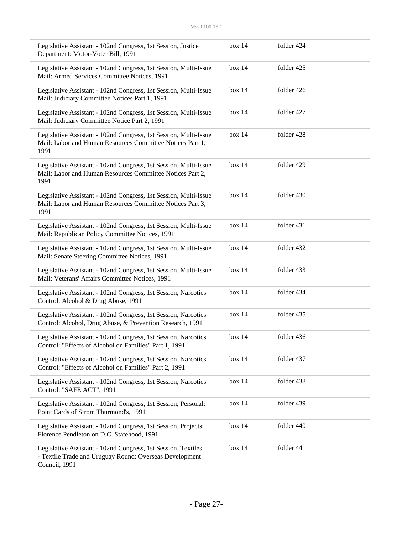| Legislative Assistant - 102nd Congress, 1st Session, Justice<br>Department: Motor-Voter Bill, 1991                                        | box 14 | folder 424 |  |
|-------------------------------------------------------------------------------------------------------------------------------------------|--------|------------|--|
| Legislative Assistant - 102nd Congress, 1st Session, Multi-Issue<br>Mail: Armed Services Committee Notices, 1991                          | box 14 | folder 425 |  |
| Legislative Assistant - 102nd Congress, 1st Session, Multi-Issue<br>Mail: Judiciary Committee Notices Part 1, 1991                        | box 14 | folder 426 |  |
| Legislative Assistant - 102nd Congress, 1st Session, Multi-Issue<br>Mail: Judiciary Committee Notice Part 2, 1991                         | box 14 | folder 427 |  |
| Legislative Assistant - 102nd Congress, 1st Session, Multi-Issue<br>Mail: Labor and Human Resources Committee Notices Part 1,<br>1991     | box 14 | folder 428 |  |
| Legislative Assistant - 102nd Congress, 1st Session, Multi-Issue<br>Mail: Labor and Human Resources Committee Notices Part 2,<br>1991     | box 14 | folder 429 |  |
| Legislative Assistant - 102nd Congress, 1st Session, Multi-Issue<br>Mail: Labor and Human Resources Committee Notices Part 3,<br>1991     | box 14 | folder 430 |  |
| Legislative Assistant - 102nd Congress, 1st Session, Multi-Issue<br>Mail: Republican Policy Committee Notices, 1991                       | box 14 | folder 431 |  |
| Legislative Assistant - 102nd Congress, 1st Session, Multi-Issue<br>Mail: Senate Steering Committee Notices, 1991                         | box 14 | folder 432 |  |
| Legislative Assistant - 102nd Congress, 1st Session, Multi-Issue<br>Mail: Veterans' Affairs Committee Notices, 1991                       | box 14 | folder 433 |  |
| Legislative Assistant - 102nd Congress, 1st Session, Narcotics<br>Control: Alcohol & Drug Abuse, 1991                                     | box 14 | folder 434 |  |
| Legislative Assistant - 102nd Congress, 1st Session, Narcotics<br>Control: Alcohol, Drug Abuse, & Prevention Research, 1991               | box 14 | folder 435 |  |
| Legislative Assistant - 102nd Congress, 1st Session, Narcotics<br>Control: "Effects of Alcohol on Families" Part 1, 1991                  | box 14 | folder 436 |  |
| Legislative Assistant - 102nd Congress, 1st Session, Narcotics<br>Control: "Effects of Alcohol on Families" Part 2, 1991                  | box 14 | folder 437 |  |
| Legislative Assistant - 102nd Congress, 1st Session, Narcotics<br>Control: "SAFE ACT", 1991                                               | box 14 | folder 438 |  |
| Legislative Assistant - 102nd Congress, 1st Session, Personal:<br>Point Cards of Strom Thurmond's, 1991                                   | box 14 | folder 439 |  |
| Legislative Assistant - 102nd Congress, 1st Session, Projects:<br>Florence Pendleton on D.C. Statehood, 1991                              | box 14 | folder 440 |  |
| Legislative Assistant - 102nd Congress, 1st Session, Textiles<br>- Textile Trade and Uruguay Round: Overseas Development<br>Council, 1991 | box 14 | folder 441 |  |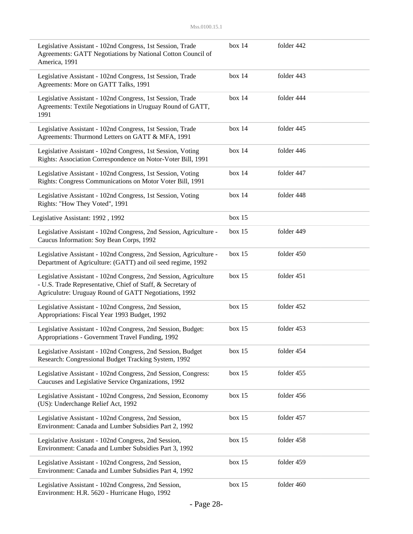| Legislative Assistant - 102nd Congress, 1st Session, Trade<br>Agreements: GATT Negotiations by National Cotton Council of<br>America, 1991                                               | box 14 | folder 442 |  |
|------------------------------------------------------------------------------------------------------------------------------------------------------------------------------------------|--------|------------|--|
| Legislative Assistant - 102nd Congress, 1st Session, Trade<br>Agreements: More on GATT Talks, 1991                                                                                       | box 14 | folder 443 |  |
| Legislative Assistant - 102nd Congress, 1st Session, Trade<br>Agreements: Textile Negotiations in Uruguay Round of GATT,<br>1991                                                         | box 14 | folder 444 |  |
| Legislative Assistant - 102nd Congress, 1st Session, Trade<br>Agreements: Thurmond Letters on GATT & MFA, 1991                                                                           | box 14 | folder 445 |  |
| Legislative Assistant - 102nd Congress, 1st Session, Voting<br>Rights: Association Correspondence on Notor-Voter Bill, 1991                                                              | box 14 | folder 446 |  |
| Legislative Assistant - 102nd Congress, 1st Session, Voting<br>Rights: Congress Communications on Motor Voter Bill, 1991                                                                 | box 14 | folder 447 |  |
| Legislative Assistant - 102nd Congress, 1st Session, Voting<br>Rights: "How They Voted", 1991                                                                                            | box 14 | folder 448 |  |
| Legislative Assistant: 1992, 1992                                                                                                                                                        | box 15 |            |  |
| Legislative Assistant - 102nd Congress, 2nd Session, Agriculture -<br>Caucus Information: Soy Bean Corps, 1992                                                                           | box 15 | folder 449 |  |
| Legislative Assistant - 102nd Congress, 2nd Session, Agriculture -<br>Department of Agriculture: (GATT) and oil seed regime, 1992                                                        | box 15 | folder 450 |  |
| Legislative Assistant - 102nd Congress, 2nd Session, Agriculture<br>- U.S. Trade Representative, Chief of Staff, & Secretary of<br>Agriculutre: Uruguay Round of GATT Negotiations, 1992 | box 15 | folder 451 |  |
| Legislative Assistant - 102nd Congress, 2nd Session,<br>Appropriations: Fiscal Year 1993 Budget, 1992                                                                                    | box 15 | folder 452 |  |
| Legislative Assistant - 102nd Congress, 2nd Session, Budget:<br>Appropriations - Government Travel Funding, 1992                                                                         | box 15 | folder 453 |  |
| Legislative Assistant - 102nd Congress, 2nd Session, Budget<br>Research: Congressional Budget Tracking System, 1992                                                                      | box 15 | folder 454 |  |
| Legislative Assistant - 102nd Congress, 2nd Session, Congress:<br>Caucuses and Legislative Service Organizations, 1992                                                                   | box 15 | folder 455 |  |
| Legislative Assistant - 102nd Congress, 2nd Session, Economy<br>(US): Underchange Relief Act, 1992                                                                                       | box 15 | folder 456 |  |
| Legislative Assistant - 102nd Congress, 2nd Session,<br>Environment: Canada and Lumber Subsidies Part 2, 1992                                                                            | box 15 | folder 457 |  |
| Legislative Assistant - 102nd Congress, 2nd Session,<br>Environment: Canada and Lumber Subsidies Part 3, 1992                                                                            | box 15 | folder 458 |  |
| Legislative Assistant - 102nd Congress, 2nd Session,<br>Environment: Canada and Lumber Subsidies Part 4, 1992                                                                            | box 15 | folder 459 |  |
| Legislative Assistant - 102nd Congress, 2nd Session,<br>Environment: H.R. 5620 - Hurricane Hugo, 1992                                                                                    | box 15 | folder 460 |  |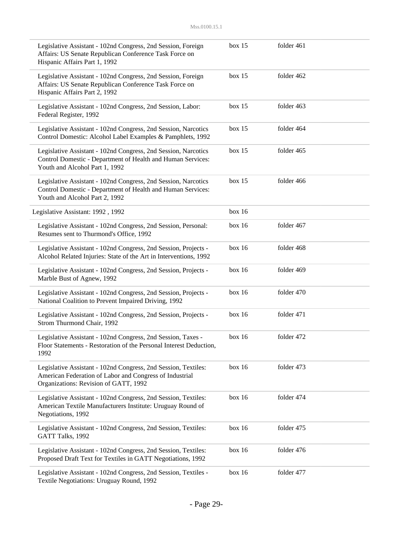| Legislative Assistant - 102nd Congress, 2nd Session, Foreign<br>Affairs: US Senate Republican Conference Task Force on<br>Hispanic Affairs Part 1, 1992            | box 15 | folder 461 |  |
|--------------------------------------------------------------------------------------------------------------------------------------------------------------------|--------|------------|--|
| Legislative Assistant - 102nd Congress, 2nd Session, Foreign<br>Affairs: US Senate Republican Conference Task Force on<br>Hispanic Affairs Part 2, 1992            | box 15 | folder 462 |  |
| Legislative Assistant - 102nd Congress, 2nd Session, Labor:<br>Federal Register, 1992                                                                              | box 15 | folder 463 |  |
| Legislative Assistant - 102nd Congress, 2nd Session, Narcotics<br>Control Domestic: Alcohol Label Examples & Pamphlets, 1992                                       | box 15 | folder 464 |  |
| Legislative Assistant - 102nd Congress, 2nd Session, Narcotics<br>Control Domestic - Department of Health and Human Services:<br>Youth and Alcohol Part 1, 1992    | box 15 | folder 465 |  |
| Legislative Assistant - 102nd Congress, 2nd Session, Narcotics<br>Control Domestic - Department of Health and Human Services:<br>Youth and Alcohol Part 2, 1992    | box 15 | folder 466 |  |
| Legislative Assistant: 1992, 1992                                                                                                                                  | box 16 |            |  |
| Legislative Assistant - 102nd Congress, 2nd Session, Personal:<br>Resumes sent to Thurmond's Office, 1992                                                          | box 16 | folder 467 |  |
| Legislative Assistant - 102nd Congress, 2nd Session, Projects -<br>Alcohol Related Injuries: State of the Art in Interventions, 1992                               | box 16 | folder 468 |  |
| Legislative Assistant - 102nd Congress, 2nd Session, Projects -<br>Marble Bust of Agnew, 1992                                                                      | box 16 | folder 469 |  |
| Legislative Assistant - 102nd Congress, 2nd Session, Projects -<br>National Coalition to Prevent Impaired Driving, 1992                                            | box 16 | folder 470 |  |
| Legislative Assistant - 102nd Congress, 2nd Session, Projects -<br>Strom Thurmond Chair, 1992                                                                      | box 16 | folder 471 |  |
| Legislative Assistant - 102nd Congress, 2nd Session, Taxes -<br>Floor Statements - Restoration of the Personal Interest Deduction,<br>1992                         | box 16 | folder 472 |  |
| Legislative Assistant - 102nd Congress, 2nd Session, Textiles:<br>American Federation of Labor and Congress of Industrial<br>Organizations: Revision of GATT, 1992 | box 16 | folder 473 |  |
| Legislative Assistant - 102nd Congress, 2nd Session, Textiles:<br>American Textile Manufacturers Institute: Uruguay Round of<br>Negotiations, 1992                 | box 16 | folder 474 |  |
| Legislative Assistant - 102nd Congress, 2nd Session, Textiles:<br>GATT Talks, 1992                                                                                 | box 16 | folder 475 |  |
| Legislative Assistant - 102nd Congress, 2nd Session, Textiles:<br>Proposed Draft Text for Textiles in GATT Negotiations, 1992                                      | box 16 | folder 476 |  |
| Legislative Assistant - 102nd Congress, 2nd Session, Textiles -<br>Textile Negotiations: Uruguay Round, 1992                                                       | box 16 | folder 477 |  |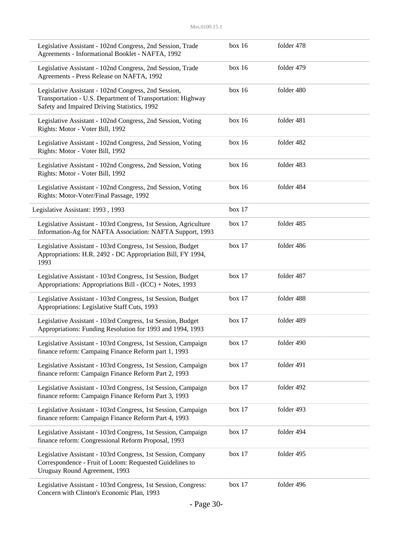| Legislative Assistant - 102nd Congress, 2nd Session, Trade<br>Agreements - Informational Booklet - NAFTA, 1992                                                      | box 16 | folder 478 |  |
|---------------------------------------------------------------------------------------------------------------------------------------------------------------------|--------|------------|--|
| Legislative Assistant - 102nd Congress, 2nd Session, Trade<br>Agreements - Press Release on NAFTA, 1992                                                             | box 16 | folder 479 |  |
| Legislative Assistant - 102nd Congress, 2nd Session,<br>Transportation - U.S. Department of Transportation: Highway<br>Safety and Impaired Driving Statistics, 1992 | box 16 | folder 480 |  |
| Legislative Assistant - 102nd Congress, 2nd Session, Voting<br>Rights: Motor - Voter Bill, 1992                                                                     | box 16 | folder 481 |  |
| Legislative Assistant - 102nd Congress, 2nd Session, Voting<br>Rights: Motor - Voter Bill, 1992                                                                     | box 16 | folder 482 |  |
| Legislative Assistant - 102nd Congress, 2nd Session, Voting<br>Rights: Motor - Voter Bill, 1992                                                                     | box 16 | folder 483 |  |
| Legislative Assistant - 102nd Congress, 2nd Session, Voting<br>Rights: Motor-Voter/Final Passage, 1992                                                              | box 16 | folder 484 |  |
| Legislative Assistant: 1993, 1993                                                                                                                                   | box 17 |            |  |
| Legislative Assistant - 103rd Congress, 1st Session, Agriculture<br>Information-Ag for NAFTA Association: NAFTA Support, 1993                                       | box 17 | folder 485 |  |
| Legislative Assistant - 103rd Congress, 1st Session, Budget<br>Appropriations: H.R. 2492 - DC Appropriation Bill, FY 1994,<br>1993                                  | box 17 | folder 486 |  |
| Legislative Assistant - 103rd Congress, 1st Session, Budget<br>Appropriations: Appropriations Bill - (ICC) + Notes, 1993                                            | box 17 | folder 487 |  |
| Legislative Assistant - 103rd Congress, 1st Session, Budget<br>Appropriations: Legislative Staff Cuts, 1993                                                         | box 17 | folder 488 |  |
| Legislative Assistant - 103rd Congress, 1st Session, Budget<br>Appropriations: Funding Resolution for 1993 and 1994, 1993                                           | box 17 | folder 489 |  |
| Legislative Assistant - 103rd Congress, 1st Session, Campaign<br>finance reform: Campaing Finance Reform part 1, 1993                                               | box 17 | folder 490 |  |
| Legislative Assistant - 103rd Congress, 1st Session, Campaign<br>finance reform: Campaign Finance Reform Part 2, 1993                                               | box 17 | folder 491 |  |
| Legislative Assistant - 103rd Congress, 1st Session, Campaign<br>finance reform: Campaign Finance Reform Part 3, 1993                                               | box 17 | folder 492 |  |
| Legislative Assistant - 103rd Congress, 1st Session, Campaign<br>finance reform: Campaign Finance Reform Part 4, 1993                                               | box 17 | folder 493 |  |
| Legislative Assistant - 103rd Congress, 1st Session, Campaign<br>finance reform: Congressional Reform Proposal, 1993                                                | box 17 | folder 494 |  |
| Legislative Assistant - 103rd Congress, 1st Session, Company<br>Correspondence - Fruit of Loom: Requested Guidelines to<br>Uruguay Round Agreement, 1993            | box 17 | folder 495 |  |
| Legislative Assistant - 103rd Congress, 1st Session, Congress:<br>Concern with Clinton's Economic Plan, 1993                                                        | box 17 | folder 496 |  |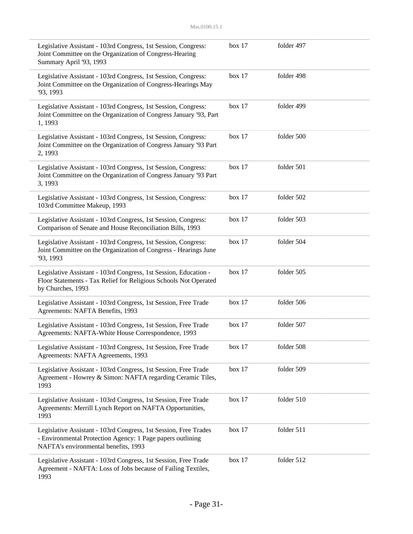| Legislative Assistant - 103rd Congress, 1st Session, Congress:<br>Joint Committee on the Organization of Congress-Hearing<br>Summary April '93, 1993                   | box 17 | folder 497 |
|------------------------------------------------------------------------------------------------------------------------------------------------------------------------|--------|------------|
| Legislative Assistant - 103rd Congress, 1st Session, Congress:<br>Joint Committee on the Organization of Congress-Hearings May<br>'93, 1993                            | box 17 | folder 498 |
| Legislative Assistant - 103rd Congress, 1st Session, Congress:<br>Joint Committee on the Organization of Congress January '93, Part<br>1, 1993                         | box 17 | folder 499 |
| Legislative Assistant - 103rd Congress, 1st Session, Congress:<br>Joint Committee on the Organization of Congress January '93 Part<br>2, 1993                          | box 17 | folder 500 |
| Legislative Assistant - 103rd Congress, 1st Session, Congress:<br>Joint Committee on the Organization of Congress January '93 Part<br>3, 1993                          | box 17 | folder 501 |
| Legislative Assistant - 103rd Congress, 1st Session, Congress:<br>103rd Committee Makeup, 1993                                                                         | box 17 | folder 502 |
| Legislative Assistant - 103rd Congress, 1st Session, Congress:<br>Comparison of Senate and House Reconciliation Bills, 1993                                            | box 17 | folder 503 |
| Legislative Assistant - 103rd Congress, 1st Session, Congress:<br>Joint Committee on the Organization of Congress - Hearings June<br>'93, 1993                         | box 17 | folder 504 |
| Legislative Assistant - 103rd Congress, 1st Session, Education -<br>Floor Statements - Tax Relief for Religious Schools Not Operated<br>by Churches, 1993              | box 17 | folder 505 |
| Legislative Assistant - 103rd Congress, 1st Session, Free Trade<br>Agreements: NAFTA Benefits, 1993                                                                    | box 17 | folder 506 |
| Legislative Assistant - 103rd Congress, 1st Session, Free Trade<br>Agreements: NAFTA-White House Correspondence, 1993                                                  | box 17 | folder 507 |
| Legislative Assistant - 103rd Congress, 1st Session, Free Trade<br>Agreements: NAFTA Agreements, 1993                                                                  | box 17 | folder 508 |
| Legislative Assistant - 103rd Congress, 1st Session, Free Trade<br>Agreement - Howrey & Simon: NAFTA regarding Ceramic Tiles,<br>1993                                  | box 17 | folder 509 |
| Legislative Assistant - 103rd Congress, 1st Session, Free Trade<br>Agreements: Merrill Lynch Report on NAFTA Opportunities,<br>1993                                    | box 17 | folder 510 |
| Legislative Assistant - 103rd Congress, 1st Session, Free Trades<br>- Environmental Protection Agency: 1 Page papers outlining<br>NAFTA's environmental benefits, 1993 | box 17 | folder 511 |
| Legislative Assistant - 103rd Congress, 1st Session, Free Trade<br>Agreement - NAFTA: Loss of Jobs because of Failing Textiles,<br>1993                                | box 17 | folder 512 |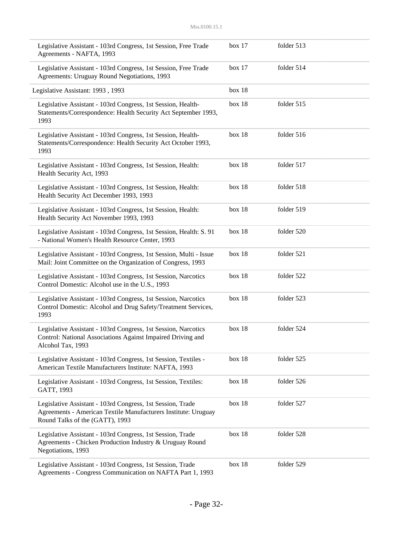| Legislative Assistant - 103rd Congress, 1st Session, Free Trade<br>Agreements - NAFTA, 1993                                                                     | box 17 | folder 513 |  |
|-----------------------------------------------------------------------------------------------------------------------------------------------------------------|--------|------------|--|
| Legislative Assistant - 103rd Congress, 1st Session, Free Trade<br>Agreements: Uruguay Round Negotiations, 1993                                                 | box 17 | folder 514 |  |
| Legislative Assistant: 1993, 1993                                                                                                                               | box 18 |            |  |
| Legislative Assistant - 103rd Congress, 1st Session, Health-<br>Statements/Correspondence: Health Security Act September 1993,<br>1993                          | box 18 | folder 515 |  |
| Legislative Assistant - 103rd Congress, 1st Session, Health-<br>Statements/Correspondence: Health Security Act October 1993,<br>1993                            | box 18 | folder 516 |  |
| Legislative Assistant - 103rd Congress, 1st Session, Health:<br>Health Security Act, 1993                                                                       | box 18 | folder 517 |  |
| Legislative Assistant - 103rd Congress, 1st Session, Health:<br>Health Security Act December 1993, 1993                                                         | box 18 | folder 518 |  |
| Legislative Assistant - 103rd Congress, 1st Session, Health:<br>Health Security Act November 1993, 1993                                                         | box 18 | folder 519 |  |
| Legislative Assistant - 103rd Congress, 1st Session, Health: S. 91<br>- National Women's Health Resource Center, 1993                                           | box 18 | folder 520 |  |
| Legislative Assistant - 103rd Congress, 1st Session, Multi - Issue<br>Mail: Joint Committee on the Organization of Congress, 1993                               | box 18 | folder 521 |  |
| Legislative Assistant - 103rd Congress, 1st Session, Narcotics<br>Control Domestic: Alcohol use in the U.S., 1993                                               | box 18 | folder 522 |  |
| Legislative Assistant - 103rd Congress, 1st Session, Narcotics<br>Control Domestic: Alcohol and Drug Safety/Treatment Services,<br>1993                         | box 18 | folder 523 |  |
| Legislative Assistant - 103rd Congress, 1st Session, Narcotics<br>Control: National Associations Against Impaired Driving and<br>Alcohol Tax, 1993              | box 18 | folder 524 |  |
| Legislative Assistant - 103rd Congress, 1st Session, Textiles -<br>American Textile Manufacturers Institute: NAFTA, 1993                                        | box 18 | folder 525 |  |
| Legislative Assistant - 103rd Congress, 1st Session, Textiles:<br>GATT, 1993                                                                                    | box 18 | folder 526 |  |
| Legislative Assistant - 103rd Congress, 1st Session, Trade<br>Agreements - American Textile Manufacturers Institute: Uruguay<br>Round Talks of the (GATT), 1993 | box 18 | folder 527 |  |
| Legislative Assistant - 103rd Congress, 1st Session, Trade<br>Agreements - Chicken Production Industry & Uruguay Round<br>Negotiations, 1993                    | box 18 | folder 528 |  |
| Legislative Assistant - 103rd Congress, 1st Session, Trade<br>Agreements - Congress Communication on NAFTA Part 1, 1993                                         | box 18 | folder 529 |  |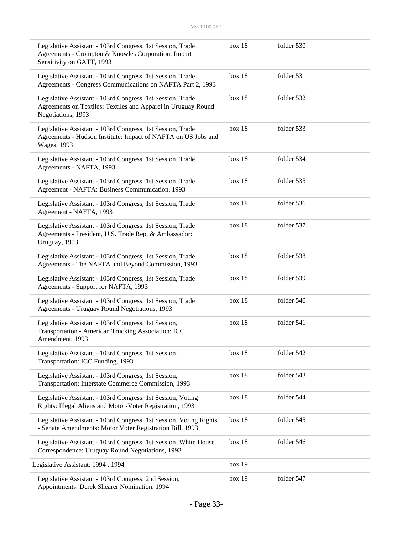| Legislative Assistant - 103rd Congress, 1st Session, Trade<br>Agreements - Crompton & Knowles Corporation: Impart<br>Sensitivity on GATT, 1993     | box 18 | folder 530 |  |
|----------------------------------------------------------------------------------------------------------------------------------------------------|--------|------------|--|
| Legislative Assistant - 103rd Congress, 1st Session, Trade<br>Agreements - Congress Communications on NAFTA Part 2, 1993                           | box 18 | folder 531 |  |
| Legislative Assistant - 103rd Congress, 1st Session, Trade<br>Agreements on Textiles: Textiles and Apparel in Uruguay Round<br>Negotiations, 1993  | box 18 | folder 532 |  |
| Legislative Assistant - 103rd Congress, 1st Session, Trade<br>Agreements - Hudson Institute: Impact of NAFTA on US Jobs and<br><b>Wages</b> , 1993 | box 18 | folder 533 |  |
| Legislative Assistant - 103rd Congress, 1st Session, Trade<br>Agreements - NAFTA, 1993                                                             | box 18 | folder 534 |  |
| Legislative Assistant - 103rd Congress, 1st Session, Trade<br>Agreement - NAFTA: Business Communication, 1993                                      | box 18 | folder 535 |  |
| Legislative Assistant - 103rd Congress, 1st Session, Trade<br>Agreement - NAFTA, 1993                                                              | box 18 | folder 536 |  |
| Legislative Assistant - 103rd Congress, 1st Session, Trade<br>Agreements - President, U.S. Trade Rep, & Ambassador:<br>Uruguay, 1993               | box 18 | folder 537 |  |
| Legislative Assistant - 103rd Congress, 1st Session, Trade<br>Agreements - The NAFTA and Beyond Commission, 1993                                   | box 18 | folder 538 |  |
| Legislative Assistant - 103rd Congress, 1st Session, Trade<br>Agreements - Support for NAFTA, 1993                                                 | box 18 | folder 539 |  |
| Legislative Assistant - 103rd Congress, 1st Session, Trade<br>Agreements - Uruguay Round Negotiations, 1993                                        | box 18 | folder 540 |  |
| Legislative Assistant - 103rd Congress, 1st Session,<br>Transportation - American Trucking Association: ICC<br>Amendment, 1993                     | box 18 | folder 541 |  |
| Legislative Assistant - 103rd Congress, 1st Session,<br>Transportation: ICC Funding, 1993                                                          | box 18 | folder 542 |  |
| Legislative Assistant - 103rd Congress, 1st Session,<br>Transportation: Interstate Commerce Commission, 1993                                       | box 18 | folder 543 |  |
| Legislative Assistant - 103rd Congress, 1st Session, Voting<br>Rights: Illegal Aliens and Motor-Voter Registration, 1993                           | box 18 | folder 544 |  |
| Legislative Assistant - 103rd Congress, 1st Session, Voting Rights<br>- Senate Amendments: Motor Voter Registration Bill, 1993                     | box 18 | folder 545 |  |
| Legislative Assistant - 103rd Congress, 1st Session, White House<br>Correspondence: Uruguay Round Negotiations, 1993                               | box 18 | folder 546 |  |
| Legislative Assistant: 1994, 1994                                                                                                                  | box 19 |            |  |
| Legislative Assistant - 103rd Congress, 2nd Session,<br>Appointments: Derek Shearer Nomination, 1994                                               | box 19 | folder 547 |  |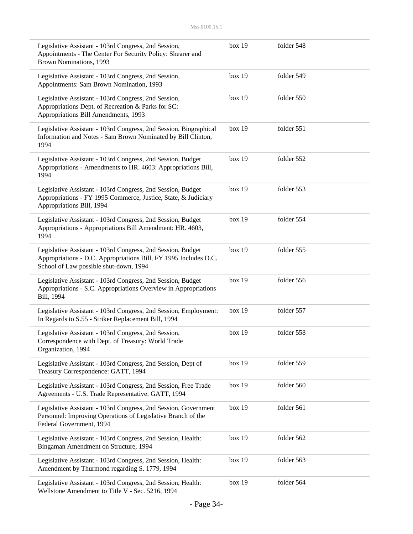| Legislative Assistant - 103rd Congress, 2nd Session,<br>Appointments - The Center For Security Policy: Shearer and<br>Brown Nominations, 1993                             | box 19 | folder 548 |
|---------------------------------------------------------------------------------------------------------------------------------------------------------------------------|--------|------------|
| Legislative Assistant - 103rd Congress, 2nd Session,<br>Appointments: Sam Brown Nomination, 1993                                                                          | box 19 | folder 549 |
| Legislative Assistant - 103rd Congress, 2nd Session,<br>Appropriations Dept. of Recreation & Parks for SC:<br>Appropriations Bill Amendments, 1993                        | box 19 | folder 550 |
| Legislative Assistant - 103rd Congress, 2nd Session, Biographical<br>Information and Notes - Sam Brown Nominated by Bill Clinton,<br>1994                                 | box 19 | folder 551 |
| Legislative Assistant - 103rd Congress, 2nd Session, Budget<br>Appropriations - Amendments to HR. 4603: Appropriations Bill,<br>1994                                      | box 19 | folder 552 |
| Legislative Assistant - 103rd Congress, 2nd Session, Budget<br>Appropriations - FY 1995 Commerce, Justice, State, & Judiciary<br>Appropriations Bill, 1994                | box 19 | folder 553 |
| Legislative Assistant - 103rd Congress, 2nd Session, Budget<br>Appropriations - Appropriations Bill Amendment: HR. 4603,<br>1994                                          | box 19 | folder 554 |
| Legislative Assistant - 103rd Congress, 2nd Session, Budget<br>Appropriations - D.C. Appropriations Bill, FY 1995 Includes D.C.<br>School of Law possible shut-down, 1994 | box 19 | folder 555 |
| Legislative Assistant - 103rd Congress, 2nd Session, Budget<br>Appropriations - S.C. Appropriations Overview in Appropriations<br>Bill, 1994                              | box 19 | folder 556 |
| Legislative Assistant - 103rd Congress, 2nd Session, Employment:<br>In Regards to S.55 - Striker Replacement Bill, 1994                                                   | box 19 | folder 557 |
| Legislative Assistant - 103rd Congress, 2nd Session,<br>Correspondence with Dept. of Treasury: World Trade<br>Organization, 1994                                          | box 19 | folder 558 |
| Legislative Assistant - 103rd Congress, 2nd Session, Dept of<br>Treasury Correspondence: GATT, 1994                                                                       | box 19 | folder 559 |
| Legislative Assistant - 103rd Congress, 2nd Session, Free Trade<br>Agreements - U.S. Trade Representative: GATT, 1994                                                     | box 19 | folder 560 |
| Legislative Assistant - 103rd Congress, 2nd Session, Government<br>Personnel: Improving Operations of Legislative Branch of the<br>Federal Government, 1994               | box 19 | folder 561 |
| Legislative Assistant - 103rd Congress, 2nd Session, Health:<br>Bingaman Amendment on Structure, 1994                                                                     | box 19 | folder 562 |
| Legislative Assistant - 103rd Congress, 2nd Session, Health:<br>Amendment by Thurmond regarding S. 1779, 1994                                                             | box 19 | folder 563 |
| Legislative Assistant - 103rd Congress, 2nd Session, Health:<br>Wellstone Amendment to Title V - Sec. 5216, 1994                                                          | box 19 | folder 564 |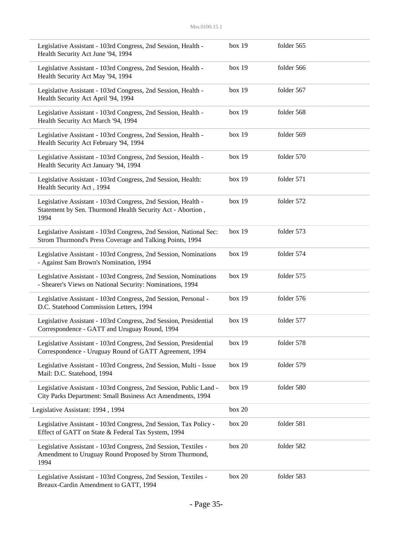| Legislative Assistant - 103rd Congress, 2nd Session, Health -<br>Health Security Act June '94, 1994                                 | box 19 | folder 565 |  |
|-------------------------------------------------------------------------------------------------------------------------------------|--------|------------|--|
| Legislative Assistant - 103rd Congress, 2nd Session, Health -<br>Health Security Act May '94, 1994                                  | box 19 | folder 566 |  |
| Legislative Assistant - 103rd Congress, 2nd Session, Health -<br>Health Security Act April '94, 1994                                | box 19 | folder 567 |  |
| Legislative Assistant - 103rd Congress, 2nd Session, Health -<br>Health Security Act March '94, 1994                                | box 19 | folder 568 |  |
| Legislative Assistant - 103rd Congress, 2nd Session, Health -<br>Health Security Act February '94, 1994                             | box 19 | folder 569 |  |
| Legislative Assistant - 103rd Congress, 2nd Session, Health -<br>Health Security Act January '94, 1994                              | box 19 | folder 570 |  |
| Legislative Assistant - 103rd Congress, 2nd Session, Health:<br>Health Security Act, 1994                                           | box 19 | folder 571 |  |
| Legislative Assistant - 103rd Congress, 2nd Session, Health -<br>Statement by Sen. Thurmond Health Security Act - Abortion,<br>1994 | box 19 | folder 572 |  |
| Legislative Assistant - 103rd Congress, 2nd Session, National Sec:<br>Strom Thurmond's Press Coverage and Talking Points, 1994      | box 19 | folder 573 |  |
| Legislative Assistant - 103rd Congress, 2nd Session, Nominations<br>- Against Sam Brown's Nomination, 1994                          | box 19 | folder 574 |  |
| Legislative Assistant - 103rd Congress, 2nd Session, Nominations<br>- Shearer's Views on National Security: Nominations, 1994       | box 19 | folder 575 |  |
| Legislative Assistant - 103rd Congress, 2nd Session, Personal -<br>D.C. Statehood Commission Letters, 1994                          | box 19 | folder 576 |  |
| Legislative Assistant - 103rd Congress, 2nd Session, Presidential<br>Correspondence - GATT and Uruguay Round, 1994                  | box 19 | folder 577 |  |
| Legislative Assistant - 103rd Congress, 2nd Session, Presidential<br>Correspondence - Uruguay Round of GATT Agreement, 1994         | box 19 | folder 578 |  |
| Legislative Assistant - 103rd Congress, 2nd Session, Multi - Issue<br>Mail: D.C. Statehood, 1994                                    | box 19 | folder 579 |  |
| Legislative Assistant - 103rd Congress, 2nd Session, Public Land -<br>City Parks Department: Small Business Act Amendments, 1994    | box 19 | folder 580 |  |
| Legislative Assistant: 1994, 1994                                                                                                   | box 20 |            |  |
| Legislative Assistant - 103rd Congress, 2nd Session, Tax Policy -<br>Effect of GATT on State & Federal Tax System, 1994             | box 20 | folder 581 |  |
| Legislative Assistant - 103rd Congress, 2nd Session, Textiles -<br>Amendment to Uruguay Round Proposed by Strom Thurmond,<br>1994   | box 20 | folder 582 |  |
| Legislative Assistant - 103rd Congress, 2nd Session, Textiles -<br>Breaux-Cardin Amendment to GATT, 1994                            | box 20 | folder 583 |  |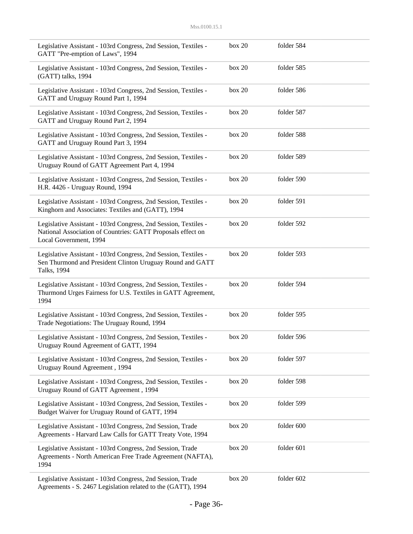| Legislative Assistant - 103rd Congress, 2nd Session, Textiles -<br>GATT "Pre-emption of Laws", 1994                                                      | box 20 | folder 584 |  |
|----------------------------------------------------------------------------------------------------------------------------------------------------------|--------|------------|--|
| Legislative Assistant - 103rd Congress, 2nd Session, Textiles -<br>(GATT) talks, 1994                                                                    | box 20 | folder 585 |  |
| Legislative Assistant - 103rd Congress, 2nd Session, Textiles -<br>GATT and Uruguay Round Part 1, 1994                                                   | box 20 | folder 586 |  |
| Legislative Assistant - 103rd Congress, 2nd Session, Textiles -<br>GATT and Uruguay Round Part 2, 1994                                                   | box 20 | folder 587 |  |
| Legislative Assistant - 103rd Congress, 2nd Session, Textiles -<br>GATT and Uruguay Round Part 3, 1994                                                   | box 20 | folder 588 |  |
| Legislative Assistant - 103rd Congress, 2nd Session, Textiles -<br>Uruguay Round of GATT Agreement Part 4, 1994                                          | box 20 | folder 589 |  |
| Legislative Assistant - 103rd Congress, 2nd Session, Textiles -<br>H.R. 4426 - Uruguay Round, 1994                                                       | box 20 | folder 590 |  |
| Legislative Assistant - 103rd Congress, 2nd Session, Textiles -<br>Kinghorn and Associates: Textiles and (GATT), 1994                                    | box 20 | folder 591 |  |
| Legislative Assistant - 103rd Congress, 2nd Session, Textiles -<br>National Association of Countries: GATT Proposals effect on<br>Local Government, 1994 | box 20 | folder 592 |  |
| Legislative Assistant - 103rd Congress, 2nd Session, Textiles -<br>Sen Thurmond and President Clinton Uruguay Round and GATT<br>Talks, 1994              | box 20 | folder 593 |  |
| Legislative Assistant - 103rd Congress, 2nd Session, Textiles -<br>Thurmond Urges Fairness for U.S. Textiles in GATT Agreement,<br>1994                  | box 20 | folder 594 |  |
| Legislative Assistant - 103rd Congress, 2nd Session, Textiles -<br>Trade Negotiations: The Uruguay Round, 1994                                           | box 20 | folder 595 |  |
| Legislative Assistant - 103rd Congress, 2nd Session, Textiles -<br>Uruguay Round Agreement of GATT, 1994                                                 | box 20 | folder 596 |  |
| Legislative Assistant - 103rd Congress, 2nd Session, Textiles -<br>Uruguay Round Agreement, 1994                                                         | box 20 | folder 597 |  |
| Legislative Assistant - 103rd Congress, 2nd Session, Textiles -<br>Uruguay Round of GATT Agreement, 1994                                                 | box 20 | folder 598 |  |
| Legislative Assistant - 103rd Congress, 2nd Session, Textiles -<br>Budget Waiver for Uruguay Round of GATT, 1994                                         | box 20 | folder 599 |  |
| Legislative Assistant - 103rd Congress, 2nd Session, Trade<br>Agreements - Harvard Law Calls for GATT Treaty Vote, 1994                                  | box 20 | folder 600 |  |
| Legislative Assistant - 103rd Congress, 2nd Session, Trade<br>Agreements - North American Free Trade Agreement (NAFTA),<br>1994                          | box 20 | folder 601 |  |
| Legislative Assistant - 103rd Congress, 2nd Session, Trade<br>Agreements - S. 2467 Legislation related to the (GATT), 1994                               | box 20 | folder 602 |  |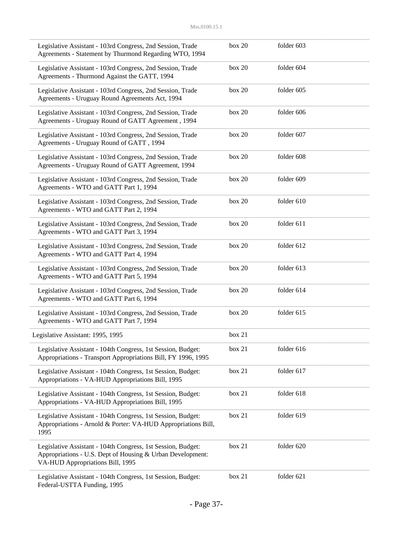| Legislative Assistant - 103rd Congress, 2nd Session, Trade<br>Agreements - Statement by Thurmond Regarding WTO, 1994                                           | box 20 | folder 603 |  |
|----------------------------------------------------------------------------------------------------------------------------------------------------------------|--------|------------|--|
| Legislative Assistant - 103rd Congress, 2nd Session, Trade<br>Agreements - Thurmond Against the GATT, 1994                                                     | box 20 | folder 604 |  |
| Legislative Assistant - 103rd Congress, 2nd Session, Trade<br>Agreements - Uruguay Round Agreements Act, 1994                                                  | box 20 | folder 605 |  |
| Legislative Assistant - 103rd Congress, 2nd Session, Trade<br>Agreements - Uruguay Round of GATT Agreement, 1994                                               | box 20 | folder 606 |  |
| Legislative Assistant - 103rd Congress, 2nd Session, Trade<br>Agreements - Uruguay Round of GATT, 1994                                                         | box 20 | folder 607 |  |
| Legislative Assistant - 103rd Congress, 2nd Session, Trade<br>Agreements - Uruguay Round of GATT Agreement, 1994                                               | box 20 | folder 608 |  |
| Legislative Assistant - 103rd Congress, 2nd Session, Trade<br>Agreements - WTO and GATT Part 1, 1994                                                           | box 20 | folder 609 |  |
| Legislative Assistant - 103rd Congress, 2nd Session, Trade<br>Agreements - WTO and GATT Part 2, 1994                                                           | box 20 | folder 610 |  |
| Legislative Assistant - 103rd Congress, 2nd Session, Trade<br>Agreements - WTO and GATT Part 3, 1994                                                           | box 20 | folder 611 |  |
| Legislative Assistant - 103rd Congress, 2nd Session, Trade<br>Agreements - WTO and GATT Part 4, 1994                                                           | box 20 | folder 612 |  |
| Legislative Assistant - 103rd Congress, 2nd Session, Trade<br>Agreements - WTO and GATT Part 5, 1994                                                           | box 20 | folder 613 |  |
| Legislative Assistant - 103rd Congress, 2nd Session, Trade<br>Agreements - WTO and GATT Part 6, 1994                                                           | box 20 | folder 614 |  |
| Legislative Assistant - 103rd Congress, 2nd Session, Trade<br>Agreements - WTO and GATT Part 7, 1994                                                           | box 20 | folder 615 |  |
| Legislative Assistant: 1995, 1995                                                                                                                              | box 21 |            |  |
| Legislative Assistant - 104th Congress, 1st Session, Budget:<br>Appropriations - Transport Appropriations Bill, FY 1996, 1995                                  | box 21 | folder 616 |  |
| Legislative Assistant - 104th Congress, 1st Session, Budget:<br>Appropriations - VA-HUD Appropriations Bill, 1995                                              | box 21 | folder 617 |  |
| Legislative Assistant - 104th Congress, 1st Session, Budget:<br>Appropriations - VA-HUD Appropriations Bill, 1995                                              | box 21 | folder 618 |  |
| Legislative Assistant - 104th Congress, 1st Session, Budget:<br>Appropriations - Arnold & Porter: VA-HUD Appropriations Bill,<br>1995                          | box 21 | folder 619 |  |
| Legislative Assistant - 104th Congress, 1st Session, Budget:<br>Appropriations - U.S. Dept of Housing & Urban Development:<br>VA-HUD Appropriations Bill, 1995 | box 21 | folder 620 |  |
| Legislative Assistant - 104th Congress, 1st Session, Budget:<br>Federal-USTTA Funding, 1995                                                                    | box 21 | folder 621 |  |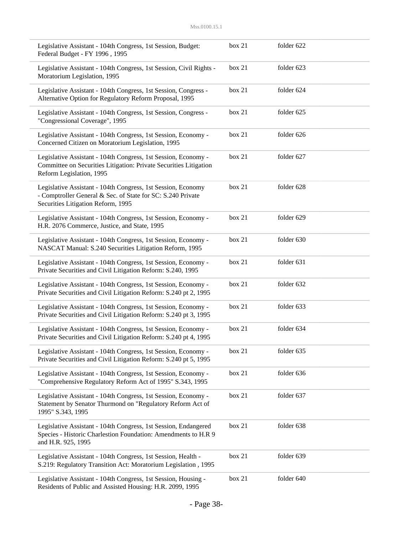| Legislative Assistant - 104th Congress, 1st Session, Budget:<br>Federal Budget - FY 1996, 1995                                                                    | box 21 | folder 622 |
|-------------------------------------------------------------------------------------------------------------------------------------------------------------------|--------|------------|
| Legislative Assistant - 104th Congress, 1st Session, Civil Rights -<br>Moratorium Legislation, 1995                                                               | box 21 | folder 623 |
| Legislative Assistant - 104th Congress, 1st Session, Congress -<br>Alternative Option for Regulatory Reform Proposal, 1995                                        | box 21 | folder 624 |
| Legislative Assistant - 104th Congress, 1st Session, Congress -<br>"Congressional Coverage", 1995                                                                 | box 21 | folder 625 |
| Legislative Assistant - 104th Congress, 1st Session, Economy -<br>Concerned Citizen on Moratorium Legislation, 1995                                               | box 21 | folder 626 |
| Legislative Assistant - 104th Congress, 1st Session, Economy -<br>Committee on Securities Litigation: Private Securities Litigation<br>Reform Legislation, 1995   | box 21 | folder 627 |
| Legislative Assistant - 104th Congress, 1st Session, Economy<br>- Comptroller General & Sec. of State for SC: S.240 Private<br>Securities Litigation Reform, 1995 | box 21 | folder 628 |
| Legislative Assistant - 104th Congress, 1st Session, Economy -<br>H.R. 2076 Commerce, Justice, and State, 1995                                                    | box 21 | folder 629 |
| Legislative Assistant - 104th Congress, 1st Session, Economy -<br>NASCAT Manual: S.240 Securities Litigation Reform, 1995                                         | box 21 | folder 630 |
| Legislative Assistant - 104th Congress, 1st Session, Economy -<br>Private Securities and Civil Litigation Reform: S.240, 1995                                     | box 21 | folder 631 |
| Legislative Assistant - 104th Congress, 1st Session, Economy -<br>Private Securities and Civil Litigation Reform: S.240 pt 2, 1995                                | box 21 | folder 632 |
| Legislative Assistant - 104th Congress, 1st Session, Economy -<br>Private Securities and Civil Litigation Reform: S.240 pt 3, 1995                                | box 21 | folder 633 |
| Legislative Assistant - 104th Congress, 1st Session, Economy -<br>Private Securities and Civil Litigation Reform: S.240 pt 4, 1995                                | box 21 | folder 634 |
| Legislative Assistant - 104th Congress, 1st Session, Economy -<br>Private Securities and Civil Litigation Reform: S.240 pt 5, 1995                                | box 21 | folder 635 |
| Legislative Assistant - 104th Congress, 1st Session, Economy -<br>"Comprehensive Regulatory Reform Act of 1995" S.343, 1995                                       | box 21 | folder 636 |
| Legislative Assistant - 104th Congress, 1st Session, Economy -<br>Statement by Senator Thurmond on "Regulatory Reform Act of<br>1995" S.343, 1995                 | box 21 | folder 637 |
| Legislative Assistant - 104th Congress, 1st Session, Endangered<br>Species - Historic Charlestion Foundation: Amendments to H.R 9<br>and H.R. 925, 1995           | box 21 | folder 638 |
| Legislative Assistant - 104th Congress, 1st Session, Health -<br>S.219: Regulatory Transition Act: Moratorium Legislation, 1995                                   | box 21 | folder 639 |
| Legislative Assistant - 104th Congress, 1st Session, Housing -<br>Residents of Public and Assisted Housing: H.R. 2099, 1995                                       | box 21 | folder 640 |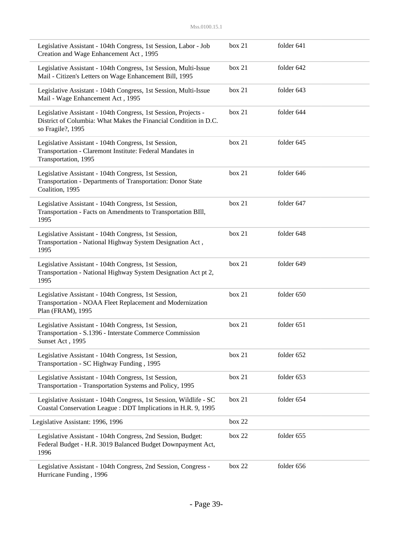| Legislative Assistant - 104th Congress, 1st Session, Labor - Job<br>Creation and Wage Enhancement Act, 1995                                              | box 21 | folder 641 |  |
|----------------------------------------------------------------------------------------------------------------------------------------------------------|--------|------------|--|
| Legislative Assistant - 104th Congress, 1st Session, Multi-Issue<br>Mail - Citizen's Letters on Wage Enhancement Bill, 1995                              | box 21 | folder 642 |  |
| Legislative Assistant - 104th Congress, 1st Session, Multi-Issue<br>Mail - Wage Enhancement Act, 1995                                                    | box 21 | folder 643 |  |
| Legislative Assistant - 104th Congress, 1st Session, Projects -<br>District of Columbia: What Makes the Financial Condition in D.C.<br>so Fragile?, 1995 | box 21 | folder 644 |  |
| Legislative Assistant - 104th Congress, 1st Session,<br>Transportation - Claremont Institute: Federal Mandates in<br>Transportation, 1995                | box 21 | folder 645 |  |
| Legislative Assistant - 104th Congress, 1st Session,<br>Transportation - Departments of Transportation: Donor State<br>Coalition, 1995                   | box 21 | folder 646 |  |
| Legislative Assistant - 104th Congress, 1st Session,<br>Transportation - Facts on Amendments to Transportation BIII,<br>1995                             | box 21 | folder 647 |  |
| Legislative Assistant - 104th Congress, 1st Session,<br>Transportation - National Highway System Designation Act,<br>1995                                | box 21 | folder 648 |  |
| Legislative Assistant - 104th Congress, 1st Session,<br>Transportation - National Highway System Designation Act pt 2,<br>1995                           | box 21 | folder 649 |  |
| Legislative Assistant - 104th Congress, 1st Session,<br>Transportation - NOAA Fleet Replacement and Modernization<br>Plan (FRAM), 1995                   | box 21 | folder 650 |  |
| Legislative Assistant - 104th Congress, 1st Session,<br>Transportation - S.1396 - Interstate Commerce Commission<br>Sunset Act, 1995                     | box 21 | folder 651 |  |
| Legislative Assistant - 104th Congress, 1st Session,<br>Transportation - SC Highway Funding, 1995                                                        | box 21 | folder 652 |  |
| Legislative Assistant - 104th Congress, 1st Session,<br>Transportation - Transportation Systems and Policy, 1995                                         | box 21 | folder 653 |  |
| Legislative Assistant - 104th Congress, 1st Session, Wildlife - SC<br>Coastal Conservation League: DDT Implications in H.R. 9, 1995                      | box 21 | folder 654 |  |
| Legislative Assistant: 1996, 1996                                                                                                                        | box 22 |            |  |
| Legislative Assistant - 104th Congress, 2nd Session, Budget:<br>Federal Budget - H.R. 3019 Balanced Budget Downpayment Act,<br>1996                      | box 22 | folder 655 |  |
| Legislative Assistant - 104th Congress, 2nd Session, Congress -<br>Hurricane Funding, 1996                                                               | box 22 | folder 656 |  |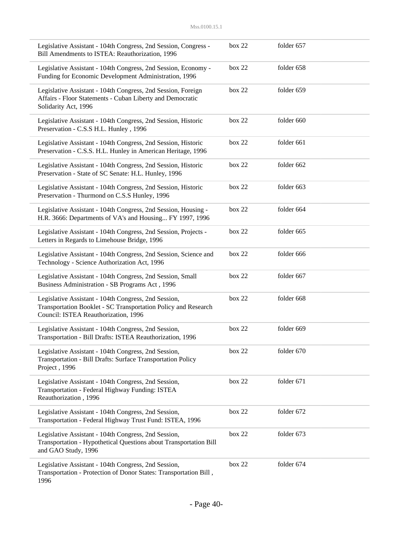| Legislative Assistant - 104th Congress, 2nd Session, Congress -<br>Bill Amendments to ISTEA: Reauthorization, 1996                                             | box 22 | folder 657 |  |
|----------------------------------------------------------------------------------------------------------------------------------------------------------------|--------|------------|--|
| Legislative Assistant - 104th Congress, 2nd Session, Economy -<br>Funding for Economic Development Administration, 1996                                        | box 22 | folder 658 |  |
| Legislative Assistant - 104th Congress, 2nd Session, Foreign<br>Affairs - Floor Statements - Cuban Liberty and Democratic<br>Solidarity Act, 1996              | box 22 | folder 659 |  |
| Legislative Assistant - 104th Congress, 2nd Session, Historic<br>Preservation - C.S.S H.L. Hunley, 1996                                                        | box 22 | folder 660 |  |
| Legislative Assistant - 104th Congress, 2nd Session, Historic<br>Preservation - C.S.S. H.L. Hunley in American Heritage, 1996                                  | box 22 | folder 661 |  |
| Legislative Assistant - 104th Congress, 2nd Session, Historic<br>Preservation - State of SC Senate: H.L. Hunley, 1996                                          | box 22 | folder 662 |  |
| Legislative Assistant - 104th Congress, 2nd Session, Historic<br>Preservation - Thurmond on C.S.S Hunley, 1996                                                 | box 22 | folder 663 |  |
| Legislative Assistant - 104th Congress, 2nd Session, Housing -<br>H.R. 3666: Departments of VA's and Housing FY 1997, 1996                                     | box 22 | folder 664 |  |
| Legislative Assistant - 104th Congress, 2nd Session, Projects -<br>Letters in Regards to Limehouse Bridge, 1996                                                | box 22 | folder 665 |  |
| Legislative Assistant - 104th Congress, 2nd Session, Science and<br>Technology - Science Authorization Act, 1996                                               | box 22 | folder 666 |  |
| Legislative Assistant - 104th Congress, 2nd Session, Small<br>Business Administration - SB Programs Act, 1996                                                  | box 22 | folder 667 |  |
| Legislative Assistant - 104th Congress, 2nd Session,<br>Transportation Booklet - SC Transportation Policy and Research<br>Council: ISTEA Reauthorization, 1996 | box 22 | folder 668 |  |
| Legislative Assistant - 104th Congress, 2nd Session,<br>Transportation - Bill Drafts: ISTEA Reauthorization, 1996                                              | box 22 | folder 669 |  |
| Legislative Assistant - 104th Congress, 2nd Session,<br>Transportation - Bill Drafts: Surface Transportation Policy<br>Project, 1996                           | box 22 | folder 670 |  |
| Legislative Assistant - 104th Congress, 2nd Session,<br>Transportation - Federal Highway Funding: ISTEA<br>Reauthorization, 1996                               | box 22 | folder 671 |  |
| Legislative Assistant - 104th Congress, 2nd Session,<br>Transportation - Federal Highway Trust Fund: ISTEA, 1996                                               | box 22 | folder 672 |  |
| Legislative Assistant - 104th Congress, 2nd Session,<br>Transportation - Hypothetical Questions about Transportation Bill<br>and GAO Study, 1996               | box 22 | folder 673 |  |
| Legislative Assistant - 104th Congress, 2nd Session,<br>Transportation - Protection of Donor States: Transportation Bill,<br>1996                              | box 22 | folder 674 |  |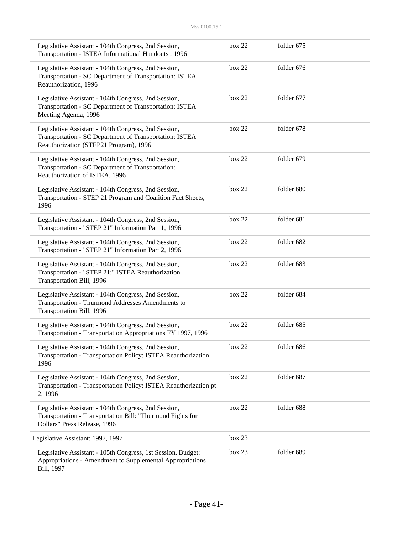| Legislative Assistant - 104th Congress, 2nd Session,<br>Transportation - ISTEA Informational Handouts, 1996                                               | box 22     | folder 675 |  |
|-----------------------------------------------------------------------------------------------------------------------------------------------------------|------------|------------|--|
| Legislative Assistant - 104th Congress, 2nd Session,<br>Transportation - SC Department of Transportation: ISTEA<br>Reauthorization, 1996                  | box $22$   | folder 676 |  |
| Legislative Assistant - 104th Congress, 2nd Session,<br>Transportation - SC Department of Transportation: ISTEA<br>Meeting Agenda, 1996                   | box 22     | folder 677 |  |
| Legislative Assistant - 104th Congress, 2nd Session,<br>Transportation - SC Department of Transportation: ISTEA<br>Reauthorization (STEP21 Program), 1996 | box 22     | folder 678 |  |
| Legislative Assistant - 104th Congress, 2nd Session,<br>Transportation - SC Department of Transportation:<br>Reauthorization of ISTEA, 1996               | box 22     | folder 679 |  |
| Legislative Assistant - 104th Congress, 2nd Session,<br>Transportation - STEP 21 Program and Coalition Fact Sheets,<br>1996                               | box 22     | folder 680 |  |
| Legislative Assistant - 104th Congress, 2nd Session,<br>Transportation - "STEP 21" Information Part 1, 1996                                               | box 22     | folder 681 |  |
| Legislative Assistant - 104th Congress, 2nd Session,<br>Transportation - "STEP 21" Information Part 2, 1996                                               | box 22     | folder 682 |  |
| Legislative Assistant - 104th Congress, 2nd Session,<br>Transportation - "STEP 21:" ISTEA Reauthorization<br>Transportation Bill, 1996                    | box 22     | folder 683 |  |
| Legislative Assistant - 104th Congress, 2nd Session,<br>Transportation - Thurmond Addresses Amendments to<br>Transportation Bill, 1996                    | box 22     | folder 684 |  |
| Legislative Assistant - 104th Congress, 2nd Session,<br>Transportation - Transportation Appropriations FY 1997, 1996                                      | box 22     | folder 685 |  |
| Legislative Assistant - 104th Congress, 2nd Session,<br>Transportation - Transportation Policy: ISTEA Reauthorization,<br>1996                            | box 22     | folder 686 |  |
| Legislative Assistant - 104th Congress, 2nd Session,<br>Transportation - Transportation Policy: ISTEA Reauthorization pt<br>2, 1996                       | box 22     | folder 687 |  |
| Legislative Assistant - 104th Congress, 2nd Session,<br>Transportation - Transportation Bill: "Thurmond Fights for<br>Dollars" Press Release, 1996        | box $22\,$ | folder 688 |  |
| Legislative Assistant: 1997, 1997                                                                                                                         | box 23     |            |  |
| Legislative Assistant - 105th Congress, 1st Session, Budget:<br>Appropriations - Amendment to Supplemental Appropriations<br>Bill, 1997                   | box 23     | folder 689 |  |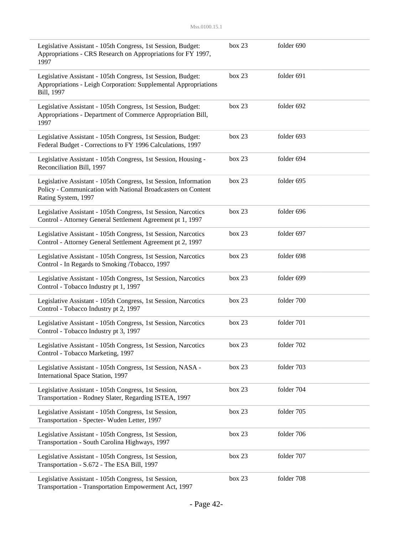| Legislative Assistant - 105th Congress, 1st Session, Budget:<br>Appropriations - CRS Research on Appropriations for FY 1997,<br>1997                    | box 23 | folder 690 |
|---------------------------------------------------------------------------------------------------------------------------------------------------------|--------|------------|
| Legislative Assistant - 105th Congress, 1st Session, Budget:<br>Appropriations - Leigh Corporation: Supplemental Appropriations<br>Bill, 1997           | box 23 | folder 691 |
| Legislative Assistant - 105th Congress, 1st Session, Budget:<br>Appropriations - Department of Commerce Appropriation Bill,<br>1997                     | box 23 | folder 692 |
| Legislative Assistant - 105th Congress, 1st Session, Budget:<br>Federal Budget - Corrections to FY 1996 Calculations, 1997                              | box 23 | folder 693 |
| Legislative Assistant - 105th Congress, 1st Session, Housing -<br>Reconciliation Bill, 1997                                                             | box 23 | folder 694 |
| Legislative Assistant - 105th Congress, 1st Session, Information<br>Policy - Communication with National Broadcasters on Content<br>Rating System, 1997 | box 23 | folder 695 |
| Legislative Assistant - 105th Congress, 1st Session, Narcotics<br>Control - Attorney General Settlement Agreement pt 1, 1997                            | box 23 | folder 696 |
| Legislative Assistant - 105th Congress, 1st Session, Narcotics<br>Control - Attorney General Settlement Agreement pt 2, 1997                            | box 23 | folder 697 |
| Legislative Assistant - 105th Congress, 1st Session, Narcotics<br>Control - In Regards to Smoking /Tobacco, 1997                                        | box 23 | folder 698 |
| Legislative Assistant - 105th Congress, 1st Session, Narcotics<br>Control - Tobacco Industry pt 1, 1997                                                 | box 23 | folder 699 |
| Legislative Assistant - 105th Congress, 1st Session, Narcotics<br>Control - Tobacco Industry pt 2, 1997                                                 | box 23 | folder 700 |
| Legislative Assistant - 105th Congress, 1st Session, Narcotics<br>Control - Tobacco Industry pt 3, 1997                                                 | box 23 | folder 701 |
| Legislative Assistant - 105th Congress, 1st Session, Narcotics<br>Control - Tobacco Marketing, 1997                                                     | box 23 | folder 702 |
| Legislative Assistant - 105th Congress, 1st Session, NASA -<br>International Space Station, 1997                                                        | box 23 | folder 703 |
| Legislative Assistant - 105th Congress, 1st Session,<br>Transportation - Rodney Slater, Regarding ISTEA, 1997                                           | box 23 | folder 704 |
| Legislative Assistant - 105th Congress, 1st Session,<br>Transportation - Specter- Wuden Letter, 1997                                                    | box 23 | folder 705 |
| Legislative Assistant - 105th Congress, 1st Session,<br>Transportation - South Carolina Highways, 1997                                                  | box 23 | folder 706 |
| Legislative Assistant - 105th Congress, 1st Session,<br>Transportation - S.672 - The ESA Bill, 1997                                                     | box 23 | folder 707 |
| Legislative Assistant - 105th Congress, 1st Session,<br>Transportation - Transportation Empowerment Act, 1997                                           | box 23 | folder 708 |